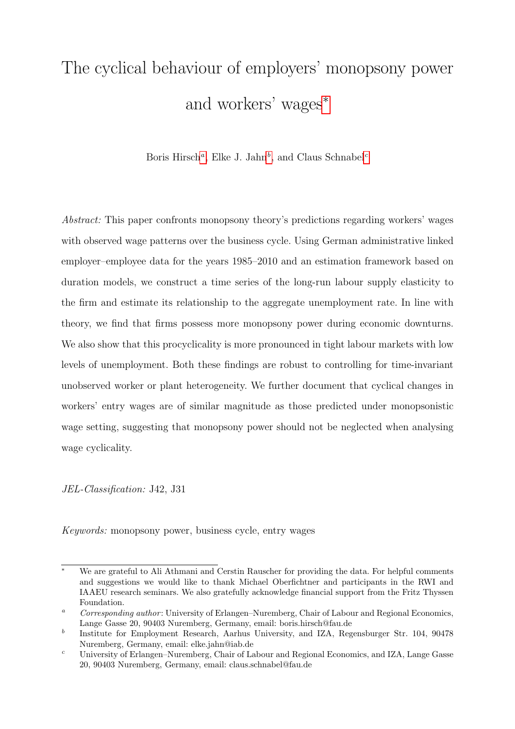# <span id="page-0-0"></span>The cyclical behaviour of employers' monopsony power and workers' wages<sup>\*</sup>

Boris Hirsch<sup>a</sup>, Elke J. Jahn<sup>b</sup>, and Claus Schnabel<sup>c</sup>

Abstract: This paper confronts monopsony theory's predictions regarding workers' wages with observed wage patterns over the business cycle. Using German administrative linked employer–employee data for the years 1985–2010 and an estimation framework based on duration models, we construct a time series of the long-run labour supply elasticity to the firm and estimate its relationship to the aggregate unemployment rate. In line with theory, we find that firms possess more monopsony power during economic downturns. We also show that this procyclicality is more pronounced in tight labour markets with low levels of unemployment. Both these findings are robust to controlling for time-invariant unobserved worker or plant heterogeneity. We further document that cyclical changes in workers' entry wages are of similar magnitude as those predicted under monopsonistic wage setting, suggesting that monopsony power should not be neglected when analysing wage cyclicality.

JEL-Classification: J42, J31

Keywords: monopsony power, business cycle, entry wages

We are grateful to Ali Athmani and Cerstin Rauscher for providing the data. For helpful comments and suggestions we would like to thank Michael Oberfichtner and participants in the RWI and IAAEU research seminars. We also gratefully acknowledge financial support from the Fritz Thyssen Foundation.

<sup>&</sup>lt;sup>a</sup> Corresponding author: University of Erlangen–Nuremberg, Chair of Labour and Regional Economics, Lange Gasse 20, 90403 Nuremberg, Germany, email: boris.hirsch@fau.de

b Institute for Employment Research, Aarhus University, and IZA, Regensburger Str. 104, 90478 Nuremberg, Germany, email: elke.jahn@iab.de

<sup>c</sup> University of Erlangen–Nuremberg, Chair of Labour and Regional Economics, and IZA, Lange Gasse 20, 90403 Nuremberg, Germany, email: claus.schnabel@fau.de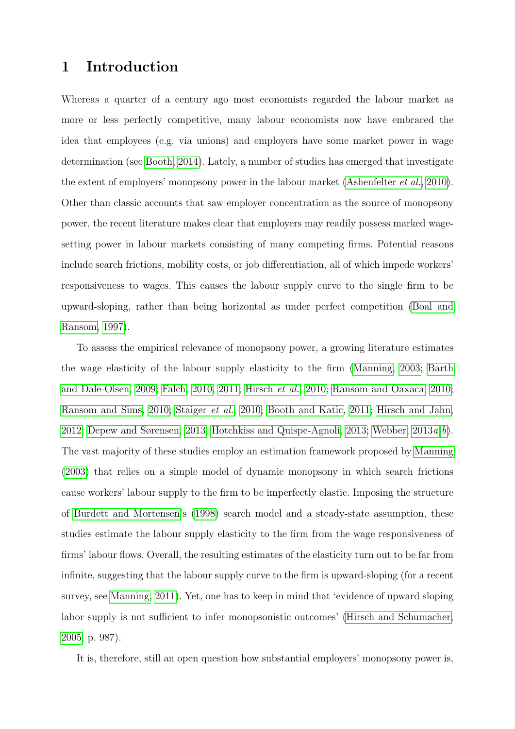### 1 Introduction

Whereas a quarter of a century ago most economists regarded the labour market as more or less perfectly competitive, many labour economists now have embraced the idea that employees (e.g. via unions) and employers have some market power in wage determination (see [Booth, 2014\)](#page-23-0). Lately, a number of studies has emerged that investigate the extent of employers' monopsony power in the labour market [\(Ashenfelter](#page-23-1) *et al.*, [2010\)](#page-23-1). Other than classic accounts that saw employer concentration as the source of monopsony power, the recent literature makes clear that employers may readily possess marked wagesetting power in labour markets consisting of many competing firms. Potential reasons include search frictions, mobility costs, or job differentiation, all of which impede workers' responsiveness to wages. This causes the labour supply curve to the single firm to be upward-sloping, rather than being horizontal as under perfect competition [\(Boal and](#page-23-2) [Ransom, 1997\)](#page-23-2).

To assess the empirical relevance of monopsony power, a growing literature estimates the wage elasticity of the labour supply elasticity to the firm [\(Manning, 2003;](#page-24-0) [Barth](#page-23-3) [and Dale-Olsen, 2009;](#page-23-3) [Falch, 2010,](#page-23-4) [2011;](#page-23-5) [Hirsch](#page-24-1) et al., [2010;](#page-24-1) [Ransom and Oaxaca, 2010;](#page-24-2) [Ransom and Sims, 2010;](#page-24-3) [Staiger](#page-24-4) et al., [2010;](#page-24-4) [Booth and Katic, 2011;](#page-23-6) [Hirsch and Jahn,](#page-24-5) [2012;](#page-24-5) [Depew and Sørensen, 2013;](#page-23-7) [Hotchkiss and Quispe-Agnoli, 2013;](#page-24-6) We[b](#page-24-8)ber,  $2013a, b$ ). The vast majority of these studies employ an estimation framework proposed by [Manning](#page-24-0) [\(2003\)](#page-24-0) that relies on a simple model of dynamic monopsony in which search frictions cause workers' labour supply to the firm to be imperfectly elastic. Imposing the structure of [Burdett and Mortensen'](#page-23-8)s [\(1998\)](#page-23-8) search model and a steady-state assumption, these studies estimate the labour supply elasticity to the firm from the wage responsiveness of firms' labour flows. Overall, the resulting estimates of the elasticity turn out to be far from infinite, suggesting that the labour supply curve to the firm is upward-sloping (for a recent survey, see [Manning, 2011\)](#page-24-9). Yet, one has to keep in mind that 'evidence of upward sloping labor supply is not sufficient to infer monopsonistic outcomes' [\(Hirsch and Schumacher,](#page-23-9) [2005,](#page-23-9) p. 987).

It is, therefore, still an open question how substantial employers' monopsony power is,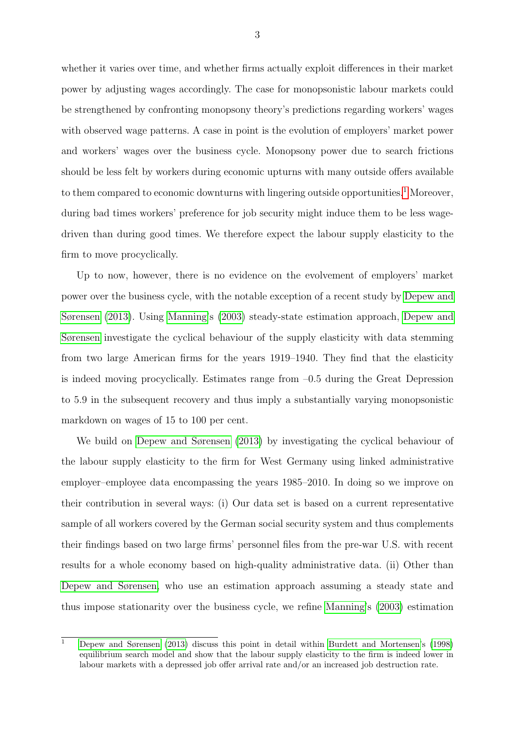whether it varies over time, and whether firms actually exploit differences in their market power by adjusting wages accordingly. The case for monopsonistic labour markets could be strengthened by confronting monopsony theory's predictions regarding workers' wages with observed wage patterns. A case in point is the evolution of employers' market power and workers' wages over the business cycle. Monopsony power due to search frictions should be less felt by workers during economic upturns with many outside offers available to them compared to economic downturns with lingering outside opportunities.<sup>[1](#page-0-0)</sup> Moreover, during bad times workers' preference for job security might induce them to be less wagedriven than during good times. We therefore expect the labour supply elasticity to the firm to move procyclically.

Up to now, however, there is no evidence on the evolvement of employers' market power over the business cycle, with the notable exception of a recent study by [Depew and](#page-23-7) [Sørensen](#page-23-7) [\(2013\)](#page-23-7). Using [Manning'](#page-24-0)s [\(2003\)](#page-24-0) steady-state estimation approach, [Depew and](#page-23-7) [Sørensen](#page-23-7) investigate the cyclical behaviour of the supply elasticity with data stemming from two large American firms for the years 1919–1940. They find that the elasticity is indeed moving procyclically. Estimates range from  $-0.5$  during the Great Depression to 5.9 in the subsequent recovery and thus imply a substantially varying monopsonistic markdown on wages of 15 to 100 per cent.

We build on [Depew and Sørensen](#page-23-7) [\(2013\)](#page-23-7) by investigating the cyclical behaviour of the labour supply elasticity to the firm for West Germany using linked administrative employer–employee data encompassing the years 1985–2010. In doing so we improve on their contribution in several ways: (i) Our data set is based on a current representative sample of all workers covered by the German social security system and thus complements their findings based on two large firms' personnel files from the pre-war U.S. with recent results for a whole economy based on high-quality administrative data. (ii) Other than [Depew and Sørensen,](#page-23-7) who use an estimation approach assuming a steady state and thus impose stationarity over the business cycle, we refine [Manning'](#page-24-0)s [\(2003\)](#page-24-0) estimation

 $\overline{1}$  [Depew and Sørensen](#page-23-7) [\(2013\)](#page-23-7) discuss this point in detail within [Burdett and Mortensen'](#page-23-8)s [\(1998\)](#page-23-8) equilibrium search model and show that the labour supply elasticity to the firm is indeed lower in labour markets with a depressed job offer arrival rate and/or an increased job destruction rate.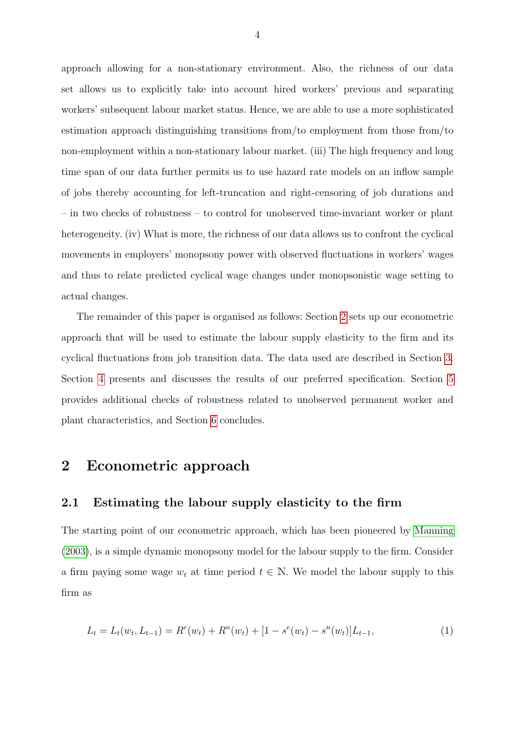approach allowing for a non-stationary environment. Also, the richness of our data set allows us to explicitly take into account hired workers' previous and separating workers' subsequent labour market status. Hence, we are able to use a more sophisticated estimation approach distinguishing transitions from/to employment from those from/to non-employment within a non-stationary labour market. (iii) The high frequency and long time span of our data further permits us to use hazard rate models on an inflow sample of jobs thereby accounting for left-truncation and right-censoring of job durations and – in two checks of robustness – to control for unobserved time-invariant worker or plant heterogeneity. (iv) What is more, the richness of our data allows us to confront the cyclical movements in employers' monopsony power with observed fluctuations in workers' wages and thus to relate predicted cyclical wage changes under monopsonistic wage setting to actual changes.

The remainder of this paper is organised as follows: Section [2](#page-3-0) sets up our econometric approach that will be used to estimate the labour supply elasticity to the firm and its cyclical fluctuations from job transition data. The data used are described in Section [3.](#page-9-0) Section [4](#page-12-0) presents and discusses the results of our preferred specification. Section [5](#page-18-0) provides additional checks of robustness related to unobserved permanent worker and plant characteristics, and Section [6](#page-21-0) concludes.

### <span id="page-3-0"></span>2 Econometric approach

#### 2.1 Estimating the labour supply elasticity to the firm

The starting point of our econometric approach, which has been pioneered by [Manning](#page-24-0) [\(2003\)](#page-24-0), is a simple dynamic monopsony model for the labour supply to the firm. Consider a firm paying some wage  $w_t$  at time period  $t \in \mathbb{N}$ . We model the labour supply to this firm as

<span id="page-3-1"></span>
$$
L_t = L_t(w_t, L_{t-1}) = R^e(w_t) + R^n(w_t) + [1 - s^e(w_t) - s^n(w_t)]L_{t-1},
$$
\n(1)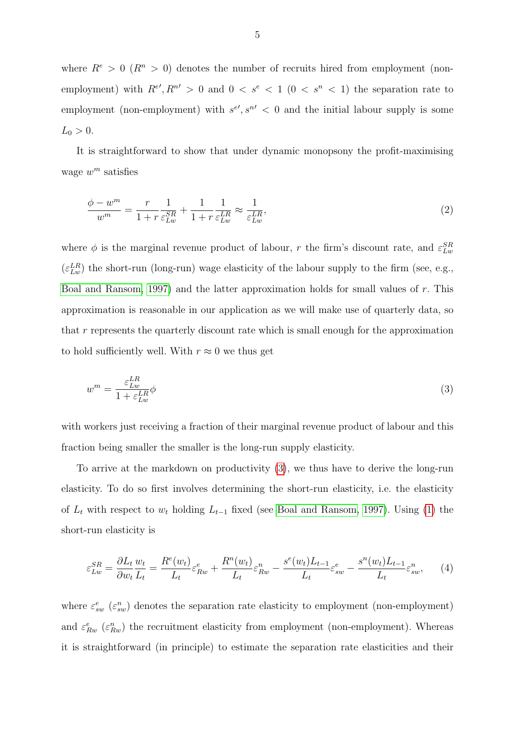where  $R^e > 0$  ( $R^n > 0$ ) denotes the number of recruits hired from employment (nonemployment) with  $R^{e'}$ ,  $R^{n'} > 0$  and  $0 < s^e < 1$  ( $0 < s^n < 1$ ) the separation rate to employment (non-employment) with  $s^{e\prime}, s^{n\prime} < 0$  and the initial labour supply is some  $L_0 > 0$ .

It is straightforward to show that under dynamic monopsony the profit-maximising wage  $w^m$  satisfies

$$
\frac{\phi - w^m}{w^m} = \frac{r}{1 + r} \frac{1}{\varepsilon_{Lw}^{SR}} + \frac{1}{1 + r} \frac{1}{\varepsilon_{Lw}^{LR}} \approx \frac{1}{\varepsilon_{Lw}^{LR}},\tag{2}
$$

where  $\phi$  is the marginal revenue product of labour, r the firm's discount rate, and  $\varepsilon_{Lw}^{SR}$  $(\varepsilon_{Lw}^{LR})$  the short-run (long-run) wage elasticity of the labour supply to the firm (see, e.g., [Boal and Ransom, 1997\)](#page-23-2) and the latter approximation holds for small values of r. This approximation is reasonable in our application as we will make use of quarterly data, so that r represents the quarterly discount rate which is small enough for the approximation to hold sufficiently well. With  $r \approx 0$  we thus get

<span id="page-4-0"></span>
$$
w^m = \frac{\varepsilon_{Lw}^{LR}}{1 + \varepsilon_{Lw}^{LR}} \phi \tag{3}
$$

with workers just receiving a fraction of their marginal revenue product of labour and this fraction being smaller the smaller is the long-run supply elasticity.

To arrive at the markdown on productivity [\(3\)](#page-4-0), we thus have to derive the long-run elasticity. To do so first involves determining the short-run elasticity, i.e. the elasticity of  $L_t$  with respect to  $w_t$  holding  $L_{t-1}$  fixed (see [Boal and Ransom, 1997\)](#page-23-2). Using [\(1\)](#page-3-1) the short-run elasticity is

<span id="page-4-1"></span>
$$
\varepsilon_{Lw}^{SR} = \frac{\partial L_t}{\partial w_t} \frac{w_t}{L_t} = \frac{R^e(w_t)}{L_t} \varepsilon_{Rw}^e + \frac{R^n(w_t)}{L_t} \varepsilon_{Rw}^n - \frac{s^e(w_t)L_{t-1}}{L_t} \varepsilon_{sw}^e - \frac{s^n(w_t)L_{t-1}}{L_t} \varepsilon_{sw}^n, \tag{4}
$$

where  $\varepsilon_{sw}^{e}$  ( $\varepsilon_{sw}^{n}$ ) denotes the separation rate elasticity to employment (non-employment) and  $\varepsilon_{Rw}^e$  ( $\varepsilon_{Rw}^n$ ) the recruitment elasticity from employment (non-employment). Whereas it is straightforward (in principle) to estimate the separation rate elasticities and their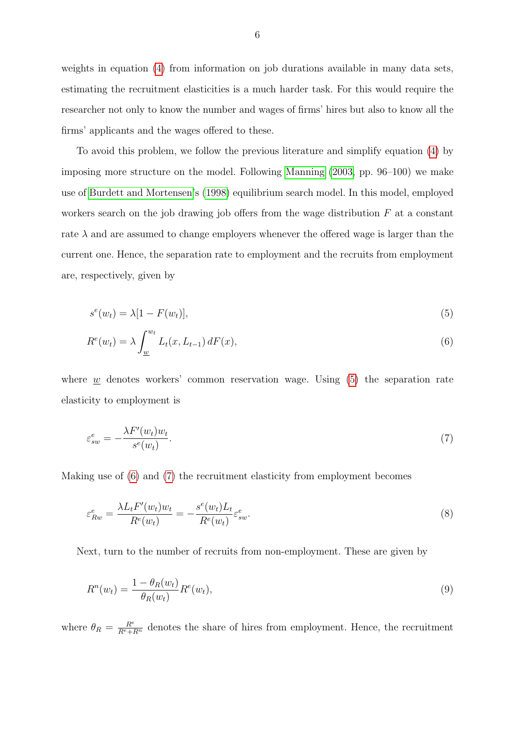weights in equation [\(4\)](#page-4-1) from information on job durations available in many data sets, estimating the recruitment elasticities is a much harder task. For this would require the researcher not only to know the number and wages of firms' hires but also to know all the firms' applicants and the wages offered to these.

To avoid this problem, we follow the previous literature and simplify equation [\(4\)](#page-4-1) by imposing more structure on the model. Following [Manning](#page-24-0) [\(2003,](#page-24-0) pp. 96–100) we make use of [Burdett and Mortensen'](#page-23-8)s [\(1998\)](#page-23-8) equilibrium search model. In this model, employed workers search on the job drawing job offers from the wage distribution  $F$  at a constant rate  $\lambda$  and are assumed to change employers whenever the offered wage is larger than the current one. Hence, the separation rate to employment and the recruits from employment are, respectively, given by

<span id="page-5-1"></span><span id="page-5-0"></span>
$$
s^{e}(w_t) = \lambda [1 - F(w_t)], \qquad (5)
$$

$$
R^{e}(w_{t}) = \lambda \int_{\underline{w}}^{w_{t}} L_{t}(x, L_{t-1}) dF(x), \qquad (6)
$$

where  $w$  denotes workers' common reservation wage. Using  $(5)$  the separation rate elasticity to employment is

<span id="page-5-3"></span><span id="page-5-2"></span>
$$
\varepsilon_{sw}^e = -\frac{\lambda F'(w_t) w_t}{s^e(w_t)}.\tag{7}
$$

Making use of [\(6\)](#page-5-1) and [\(7\)](#page-5-2) the recruitment elasticity from employment becomes

$$
\varepsilon_{Rw}^e = \frac{\lambda L_t F'(w_t) w_t}{R^e(w_t)} = -\frac{s^e(w_t) L_t}{R^e(w_t)} \varepsilon_{sw}^e.
$$
\n
$$
(8)
$$

Next, turn to the number of recruits from non-employment. These are given by

$$
R^n(w_t) = \frac{1 - \theta_R(w_t)}{\theta_R(w_t)} R^e(w_t), \qquad (9)
$$

where  $\theta_R = \frac{R^e}{R^e + R^n}$  denotes the share of hires from employment. Hence, the recruitment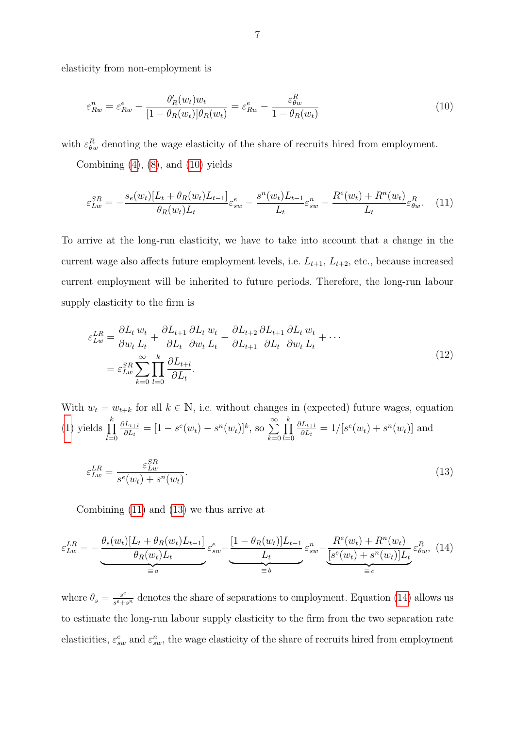elasticity from non-employment is

<span id="page-6-0"></span>
$$
\varepsilon_{Rw}^n = \varepsilon_{Rw}^e - \frac{\theta_R'(w_t)w_t}{[1 - \theta_R(w_t)]\theta_R(w_t)} = \varepsilon_{Rw}^e - \frac{\varepsilon_{\theta w}^R}{1 - \theta_R(w_t)}
$$
(10)

with  $\varepsilon_{\theta w}^R$  denoting the wage elasticity of the share of recruits hired from employment.

Combining  $(4)$ ,  $(8)$ , and  $(10)$  yields

<span id="page-6-1"></span>
$$
\varepsilon_{Lw}^{SR} = -\frac{s_e(w_t)[L_t + \theta_R(w_t)L_{t-1}]}{\theta_R(w_t)L_t}\varepsilon_{sw}^e - \frac{s^n(w_t)L_{t-1}}{L_t}\varepsilon_{sw}^n - \frac{R^e(w_t) + R^n(w_t)}{L_t}\varepsilon_{\theta w}^R. \tag{11}
$$

To arrive at the long-run elasticity, we have to take into account that a change in the current wage also affects future employment levels, i.e.  $L_{t+1}$ ,  $L_{t+2}$ , etc., because increased current employment will be inherited to future periods. Therefore, the long-run labour supply elasticity to the firm is

<span id="page-6-2"></span>
$$
\varepsilon_{Lw}^{LR} = \frac{\partial L_t}{\partial w_t} \frac{w_t}{L_t} + \frac{\partial L_{t+1}}{\partial L_t} \frac{\partial L_t}{\partial w_t} \frac{w_t}{L_t} + \frac{\partial L_{t+2}}{\partial L_{t+1}} \frac{\partial L_{t+1}}{\partial L_t} \frac{\partial L_t}{\partial w_t} \frac{w_t}{L_t} + \cdots
$$
\n
$$
= \varepsilon_{Lw}^{SR} \sum_{k=0}^{\infty} \prod_{l=0}^{k} \frac{\partial L_{t+l}}{\partial L_t}.
$$
\n(12)

With  $w_t = w_{t+k}$  for all  $k \in \mathbb{N}$ , i.e. without changes in (expected) future wages, equation [\(1\)](#page-3-1) yields  $\prod^k$  $_{l=0}$  $\partial L_{t+l}$  $\frac{\partial L_{t+l}}{\partial L_t} = [1 - s^e(w_t) - s^n(w_t)]^k$ , so  $\sum_{t=1}^{\infty}$  $k=0$  $\prod^k$  $_{l=0}$  $\partial L_{t+l}$  $\frac{\partial L_{t+l}}{\partial L_t} = 1/[s^e(w_t) + s^n(w_t)]$  and  $\varepsilon_{Lw}^{LR} =$  $\varepsilon_{Lw}^{SR}$  $s^e(w_t) + s^n(w_t)$ .  $(13)$ 

<span id="page-6-3"></span>Combining [\(11\)](#page-6-1) and [\(13\)](#page-6-2) we thus arrive at

$$
\varepsilon_{Lw}^{LR} = -\underbrace{\frac{\theta_s(w_t)[L_t + \theta_R(w_t)L_{t-1}]}{\theta_R(w_t)L_t}}_{\equiv a} \varepsilon_{sw}^e - \underbrace{\frac{[1 - \theta_R(w_t)]L_{t-1}}{L_t}}_{\equiv b} \varepsilon_{sw}^n - \underbrace{\frac{R^e(w_t) + R^n(w_t)}{[s^e(w_t) + s^n(w_t)]L_t}}_{\equiv c} \varepsilon_{gw}^R, (14)
$$

where  $\theta_s = \frac{s^e}{s^e + s^e}$  $\frac{s^e}{s^e+s^n}$  denotes the share of separations to employment. Equation [\(14\)](#page-6-3) allows us to estimate the long-run labour supply elasticity to the firm from the two separation rate elasticities,  $\varepsilon_{sw}^e$  and  $\varepsilon_{sw}^n$ , the wage elasticity of the share of recruits hired from employment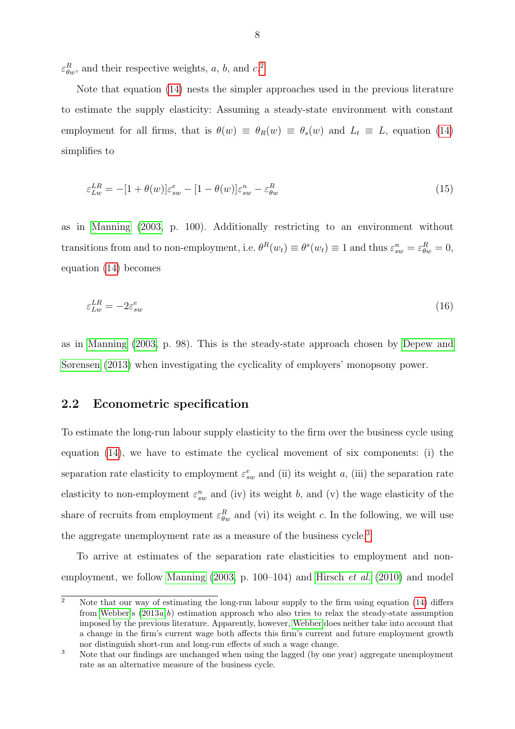$\varepsilon_{\theta w}^R$ , and their respective weights, a, b, and c.<sup>[2](#page-0-0)</sup>

Note that equation [\(14\)](#page-6-3) nests the simpler approaches used in the previous literature to estimate the supply elasticity: Assuming a steady-state environment with constant employment for all firms, that is  $\theta(w) \equiv \theta_R(w) \equiv \theta_s(w)$  and  $L_t \equiv L$ , equation [\(14\)](#page-6-3) simplifies to

$$
\varepsilon_{Lw}^{LR} = -[1 + \theta(w)]\varepsilon_{sw}^e - [1 - \theta(w)]\varepsilon_{sw}^n - \varepsilon_{\theta w}^R \tag{15}
$$

as in [Manning](#page-24-0) [\(2003,](#page-24-0) p. 100). Additionally restricting to an environment without transitions from and to non-employment, i.e.  $\theta^R(w_t) \equiv \theta^s(w_t) \equiv 1$  and thus  $\varepsilon_{sw}^n = \varepsilon_{\theta w}^R = 0$ , equation [\(14\)](#page-6-3) becomes

$$
\varepsilon_{Lw}^{LR} = -2\varepsilon_{sw}^e \tag{16}
$$

as in [Manning](#page-24-0) [\(2003,](#page-24-0) p. 98). This is the steady-state approach chosen by [Depew and](#page-23-7) [Sørensen](#page-23-7) [\(2013\)](#page-23-7) when investigating the cyclicality of employers' monopsony power.

#### <span id="page-7-0"></span>2.2 Econometric specification

To estimate the long-run labour supply elasticity to the firm over the business cycle using equation [\(14\)](#page-6-3), we have to estimate the cyclical movement of six components: (i) the separation rate elasticity to employment  $\varepsilon_{sw}^e$  and (ii) its weight a, (iii) the separation rate elasticity to non-employment  $\varepsilon_{sw}^n$  and (iv) its weight b, and (v) the wage elasticity of the share of recruits from employment  $\varepsilon_{\theta w}^R$  and (vi) its weight c. In the following, we will use the aggregate unemployment rate as a measure of the business cycle.<sup>[3](#page-0-0)</sup>

To arrive at estimates of the separation rate elasticities to employment and non-employment, we follow [Manning](#page-24-0)  $(2003, p. 100-104)$  $(2003, p. 100-104)$  and [Hirsch](#page-24-1) *et al.*  $(2010)$  and model

 $\overline{2}$  Note that our way of estimating the long-run labour supply to the firm using equation [\(14\)](#page-6-3) differs from [Webber'](#page-24-7)s  $(2013a,b)$  $(2013a,b)$  estimation approach who also tries to relax the steady-state assumption imposed by the previous literature. Apparently, however, [Webber](#page-24-7) does neither take into account that a change in the firm's current wage both affects this firm's current and future employment growth nor distinguish short-run and long-run effects of such a wage change.

<sup>&</sup>lt;sup>3</sup> Note that our findings are unchanged when using the lagged (by one year) aggregate unemployment rate as an alternative measure of the business cycle.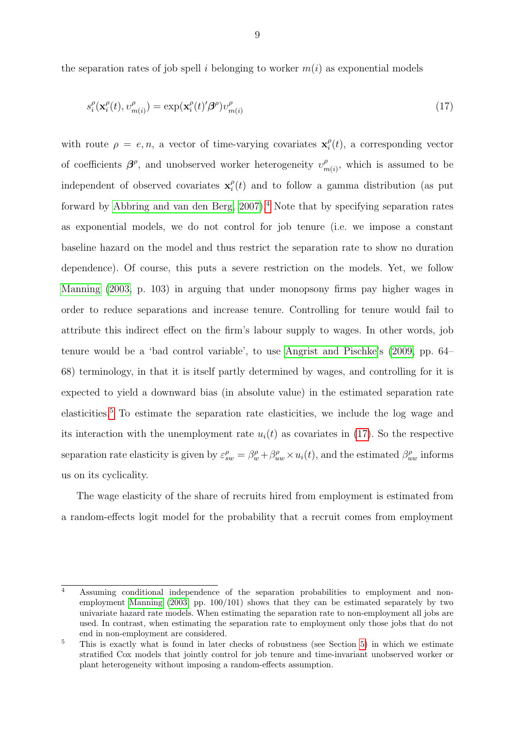the separation rates of job spell i belonging to worker  $m(i)$  as exponential models

<span id="page-8-0"></span>
$$
s_i^{\rho}(\mathbf{x}_i^{\rho}(t), \upsilon_{m(i)}^{\rho}) = \exp(\mathbf{x}_i^{\rho}(t)'\boldsymbol{\beta}^{\rho})\upsilon_{m(i)}^{\rho}
$$
\n(17)

with route  $\rho = e, n$ , a vector of time-varying covariates  $\mathbf{x}_i^{\rho}$  $i(t)$ , a corresponding vector of coefficients  $\beta^{\rho}$ , and unobserved worker heterogeneity  $v_n^{\rho}$  $m(n)$ , which is assumed to be independent of observed covariates  $\mathbf{x}_i^{\rho}$  $\int_{i}^{\rho}(t)$  and to follow a gamma distribution (as put forward by Abbring and van den Berg,  $2007$ ).<sup>[4](#page-0-0)</sup> Note that by specifying separation rates as exponential models, we do not control for job tenure (i.e. we impose a constant baseline hazard on the model and thus restrict the separation rate to show no duration dependence). Of course, this puts a severe restriction on the models. Yet, we follow [Manning](#page-24-0) [\(2003,](#page-24-0) p. 103) in arguing that under monopsony firms pay higher wages in order to reduce separations and increase tenure. Controlling for tenure would fail to attribute this indirect effect on the firm's labour supply to wages. In other words, job tenure would be a 'bad control variable', to use [Angrist and Pischke'](#page-23-11)s [\(2009,](#page-23-11) pp. 64– 68) terminology, in that it is itself partly determined by wages, and controlling for it is expected to yield a downward bias (in absolute value) in the estimated separation rate elasticities.[5](#page-0-0) To estimate the separation rate elasticities, we include the log wage and its interaction with the unemployment rate  $u_i(t)$  as covariates in [\(17\)](#page-8-0). So the respective separation rate elasticity is given by  $\varepsilon_{sw}^{\rho} = \beta_w^{\rho} + \beta_{uw}^{\rho} \times u_i(t)$ , and the estimated  $\beta_{uw}^{\rho}$  informs us on its cyclicality.

The wage elasticity of the share of recruits hired from employment is estimated from a random-effects logit model for the probability that a recruit comes from employment

<sup>4</sup> Assuming conditional independence of the separation probabilities to employment and nonemployment [Manning](#page-24-0) [\(2003,](#page-24-0) pp. 100/101) shows that they can be estimated separately by two univariate hazard rate models. When estimating the separation rate to non-employment all jobs are used. In contrast, when estimating the separation rate to employment only those jobs that do not end in non-employment are considered.

<sup>&</sup>lt;sup>5</sup> This is exactly what is found in later checks of robustness (see Section [5\)](#page-18-0) in which we estimate stratified Cox models that jointly control for job tenure and time-invariant unobserved worker or plant heterogeneity without imposing a random-effects assumption.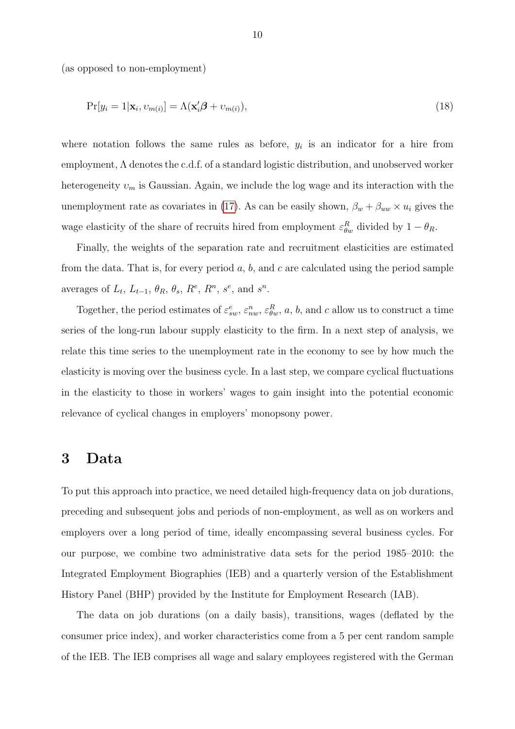(as opposed to non-employment)

$$
Pr[y_i = 1 | \mathbf{x}_i, v_{m(i)}] = \Lambda(\mathbf{x}'_i \boldsymbol{\beta} + v_{m(i)}),
$$
\n(18)

where notation follows the same rules as before,  $y_i$  is an indicator for a hire from employment, Λ denotes the c.d.f. of a standard logistic distribution, and unobserved worker heterogeneity  $v_m$  is Gaussian. Again, we include the log wage and its interaction with the unemployment rate as covariates in [\(17\)](#page-8-0). As can be easily shown,  $\beta_w + \beta_{uw} \times u_i$  gives the wage elasticity of the share of recruits hired from employment  $\varepsilon_{\theta w}^R$  divided by  $1 - \theta_R$ .

Finally, the weights of the separation rate and recruitment elasticities are estimated from the data. That is, for every period  $a, b$ , and c are calculated using the period sample averages of  $L_t$ ,  $L_{t-1}$ ,  $\theta_R$ ,  $\theta_s$ ,  $R^e$ ,  $R^n$ ,  $s^e$ , and  $s^n$ .

Together, the period estimates of  $\varepsilon_{sw}^e$ ,  $\varepsilon_{nw}^n$ ,  $\varepsilon_{\theta w}^R$ , a, b, and c allow us to construct a time series of the long-run labour supply elasticity to the firm. In a next step of analysis, we relate this time series to the unemployment rate in the economy to see by how much the elasticity is moving over the business cycle. In a last step, we compare cyclical fluctuations in the elasticity to those in workers' wages to gain insight into the potential economic relevance of cyclical changes in employers' monopsony power.

### <span id="page-9-0"></span>3 Data

To put this approach into practice, we need detailed high-frequency data on job durations, preceding and subsequent jobs and periods of non-employment, as well as on workers and employers over a long period of time, ideally encompassing several business cycles. For our purpose, we combine two administrative data sets for the period 1985–2010: the Integrated Employment Biographies (IEB) and a quarterly version of the Establishment History Panel (BHP) provided by the Institute for Employment Research (IAB).

The data on job durations (on a daily basis), transitions, wages (deflated by the consumer price index), and worker characteristics come from a 5 per cent random sample of the IEB. The IEB comprises all wage and salary employees registered with the German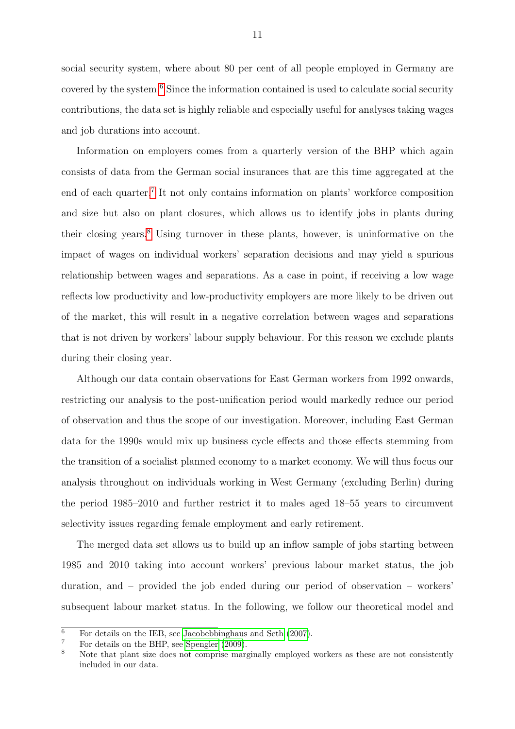social security system, where about 80 per cent of all people employed in Germany are covered by the system.<sup>[6](#page-0-0)</sup> Since the information contained is used to calculate social security contributions, the data set is highly reliable and especially useful for analyses taking wages and job durations into account.

Information on employers comes from a quarterly version of the BHP which again consists of data from the German social insurances that are this time aggregated at the end of each quarter.<sup>[7](#page-0-0)</sup> It not only contains information on plants' workforce composition and size but also on plant closures, which allows us to identify jobs in plants during their closing years.[8](#page-0-0) Using turnover in these plants, however, is uninformative on the impact of wages on individual workers' separation decisions and may yield a spurious relationship between wages and separations. As a case in point, if receiving a low wage reflects low productivity and low-productivity employers are more likely to be driven out of the market, this will result in a negative correlation between wages and separations that is not driven by workers' labour supply behaviour. For this reason we exclude plants during their closing year.

Although our data contain observations for East German workers from 1992 onwards, restricting our analysis to the post-unification period would markedly reduce our period of observation and thus the scope of our investigation. Moreover, including East German data for the 1990s would mix up business cycle effects and those effects stemming from the transition of a socialist planned economy to a market economy. We will thus focus our analysis throughout on individuals working in West Germany (excluding Berlin) during the period 1985–2010 and further restrict it to males aged 18–55 years to circumvent selectivity issues regarding female employment and early retirement.

The merged data set allows us to build up an inflow sample of jobs starting between 1985 and 2010 taking into account workers' previous labour market status, the job duration, and – provided the job ended during our period of observation – workers' subsequent labour market status. In the following, we follow our theoretical model and

 $6$  For details on the IEB, see [Jacobebbinghaus and Seth](#page-24-10) [\(2007\)](#page-24-10).

<sup>7</sup> For details on the BHP, see [Spengler](#page-24-11) [\(2009\)](#page-24-11).

<sup>&</sup>lt;sup>8</sup> Note that plant size does not comprise marginally employed workers as these are not consistently included in our data.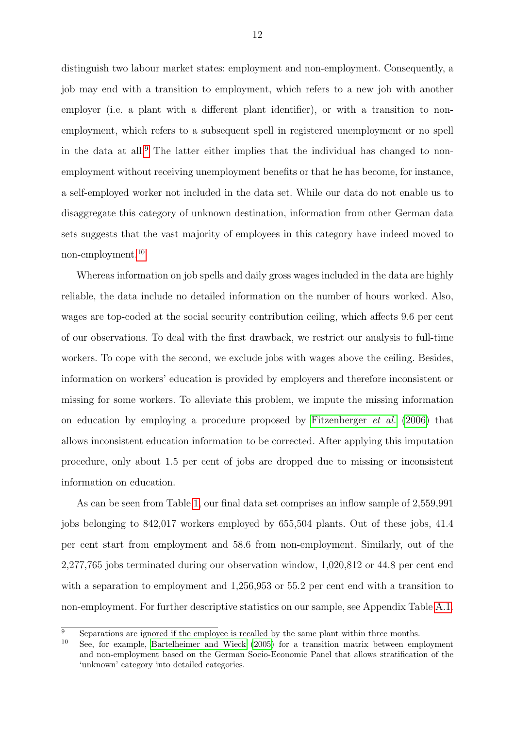distinguish two labour market states: employment and non-employment. Consequently, a job may end with a transition to employment, which refers to a new job with another employer (i.e. a plant with a different plant identifier), or with a transition to nonemployment, which refers to a subsequent spell in registered unemployment or no spell in the data at all.[9](#page-0-0) The latter either implies that the individual has changed to nonemployment without receiving unemployment benefits or that he has become, for instance, a self-employed worker not included in the data set. While our data do not enable us to disaggregate this category of unknown destination, information from other German data sets suggests that the vast majority of employees in this category have indeed moved to non-employment.[10](#page-0-0)

Whereas information on job spells and daily gross wages included in the data are highly reliable, the data include no detailed information on the number of hours worked. Also, wages are top-coded at the social security contribution ceiling, which affects 9.6 per cent of our observations. To deal with the first drawback, we restrict our analysis to full-time workers. To cope with the second, we exclude jobs with wages above the ceiling. Besides, information on workers' education is provided by employers and therefore inconsistent or missing for some workers. To alleviate this problem, we impute the missing information on education by employing a procedure proposed by [Fitzenberger](#page-23-12) et al. [\(2006\)](#page-23-12) that allows inconsistent education information to be corrected. After applying this imputation procedure, only about 1.5 per cent of jobs are dropped due to missing or inconsistent information on education.

As can be seen from Table [1,](#page-27-0) our final data set comprises an inflow sample of 2,559,991 jobs belonging to 842,017 workers employed by 655,504 plants. Out of these jobs, 41.4 per cent start from employment and 58.6 from non-employment. Similarly, out of the 2,277,765 jobs terminated during our observation window, 1,020,812 or 44.8 per cent end with a separation to employment and  $1,256,953$  or  $55.2$  per cent end with a transition to non-employment. For further descriptive statistics on our sample, see Appendix Table [A.1.](#page-36-0)

 $\overline{9}$  Separations are ignored if the employee is recalled by the same plant within three months.

<sup>10</sup> See, for example, [Bartelheimer and Wieck](#page-23-13) [\(2005\)](#page-23-13) for a transition matrix between employment and non-employment based on the German Socio-Economic Panel that allows stratification of the 'unknown' category into detailed categories.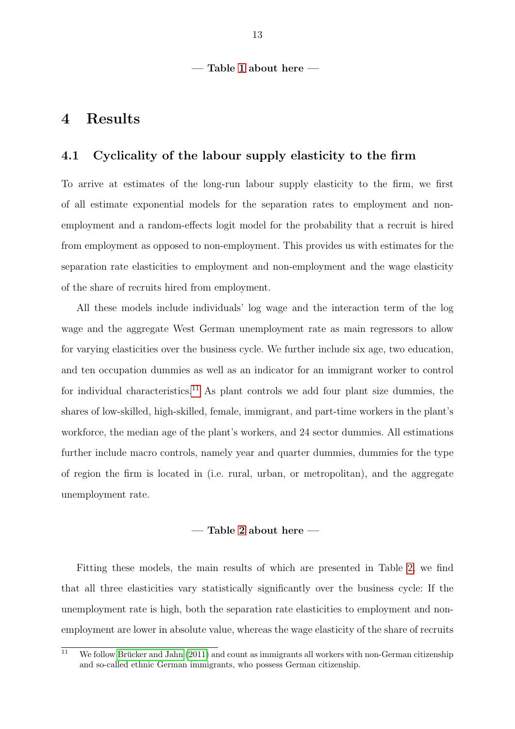#### — Table [1](#page-27-0) about here —

### <span id="page-12-0"></span>4 Results

#### <span id="page-12-1"></span>4.1 Cyclicality of the labour supply elasticity to the firm

To arrive at estimates of the long-run labour supply elasticity to the firm, we first of all estimate exponential models for the separation rates to employment and nonemployment and a random-effects logit model for the probability that a recruit is hired from employment as opposed to non-employment. This provides us with estimates for the separation rate elasticities to employment and non-employment and the wage elasticity of the share of recruits hired from employment.

All these models include individuals' log wage and the interaction term of the log wage and the aggregate West German unemployment rate as main regressors to allow for varying elasticities over the business cycle. We further include six age, two education, and ten occupation dummies as well as an indicator for an immigrant worker to control for individual characteristics.<sup>[11](#page-0-0)</sup> As plant controls we add four plant size dummies, the shares of low-skilled, high-skilled, female, immigrant, and part-time workers in the plant's workforce, the median age of the plant's workers, and 24 sector dummies. All estimations further include macro controls, namely year and quarter dummies, dummies for the type of region the firm is located in (i.e. rural, urban, or metropolitan), and the aggregate unemployment rate.

#### — Table [2](#page-27-1) about here —

Fitting these models, the main results of which are presented in Table [2,](#page-27-1) we find that all three elasticities vary statistically significantly over the business cycle: If the unemployment rate is high, both the separation rate elasticities to employment and nonemployment are lower in absolute value, whereas the wage elasticity of the share of recruits

 $\frac{11}{11}$  We follow Brücker and Jahn [\(2011\)](#page-23-14) and count as immigrants all workers with non-German citizenship and so-called ethnic German immigrants, who possess German citizenship.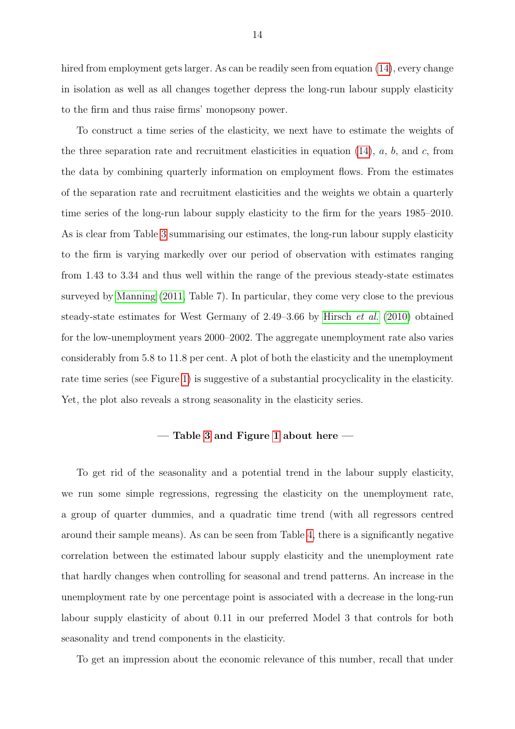hired from employment gets larger. As can be readily seen from equation [\(14\)](#page-6-3), every change in isolation as well as all changes together depress the long-run labour supply elasticity to the firm and thus raise firms' monopsony power.

To construct a time series of the elasticity, we next have to estimate the weights of the three separation rate and recruitment elasticities in equation  $(14)$ , a, b, and c, from the data by combining quarterly information on employment flows. From the estimates of the separation rate and recruitment elasticities and the weights we obtain a quarterly time series of the long-run labour supply elasticity to the firm for the years 1985–2010. As is clear from Table [3](#page-28-0) summarising our estimates, the long-run labour supply elasticity to the firm is varying markedly over our period of observation with estimates ranging from 1.43 to 3.34 and thus well within the range of the previous steady-state estimates surveyed by [Manning](#page-24-9) [\(2011,](#page-24-9) Table 7). In particular, they come very close to the previous steady-state estimates for West Germany of 2.49–3.66 by [Hirsch](#page-24-1) et al. [\(2010\)](#page-24-1) obtained for the low-unemployment years 2000–2002. The aggregate unemployment rate also varies considerably from 5.8 to 11.8 per cent. A plot of both the elasticity and the unemployment rate time series (see Figure [1\)](#page-25-0) is suggestive of a substantial procyclicality in the elasticity. Yet, the plot also reveals a strong seasonality in the elasticity series.

#### — Table [3](#page-28-0) and Figure [1](#page-25-0) about here —

To get rid of the seasonality and a potential trend in the labour supply elasticity, we run some simple regressions, regressing the elasticity on the unemployment rate, a group of quarter dummies, and a quadratic time trend (with all regressors centred around their sample means). As can be seen from Table [4,](#page-28-1) there is a significantly negative correlation between the estimated labour supply elasticity and the unemployment rate that hardly changes when controlling for seasonal and trend patterns. An increase in the unemployment rate by one percentage point is associated with a decrease in the long-run labour supply elasticity of about 0.11 in our preferred Model 3 that controls for both seasonality and trend components in the elasticity.

To get an impression about the economic relevance of this number, recall that under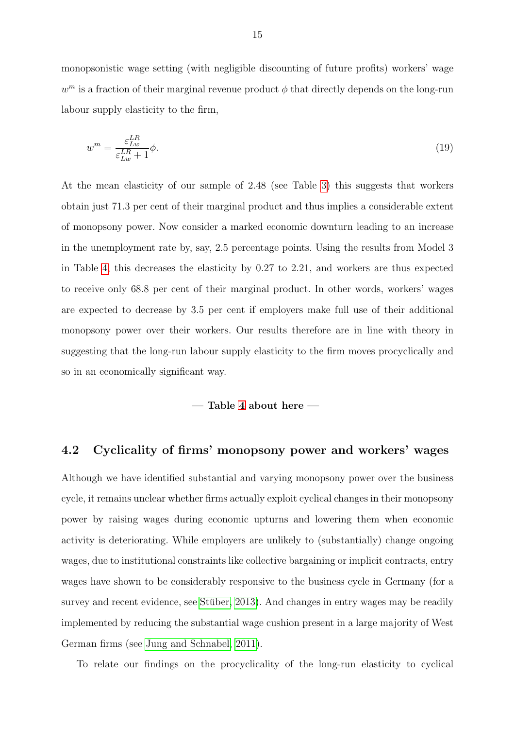monopsonistic wage setting (with negligible discounting of future profits) workers' wage  $w^m$  is a fraction of their marginal revenue product  $\phi$  that directly depends on the long-run labour supply elasticity to the firm,

$$
w^m = \frac{\varepsilon_{Lw}^{LR}}{\varepsilon_{Lw}^{LR} + 1} \phi.
$$
\n(19)

At the mean elasticity of our sample of 2.48 (see Table [3\)](#page-28-0) this suggests that workers obtain just 71.3 per cent of their marginal product and thus implies a considerable extent of monopsony power. Now consider a marked economic downturn leading to an increase in the unemployment rate by, say, 2.5 percentage points. Using the results from Model 3 in Table [4,](#page-28-1) this decreases the elasticity by 0.27 to 2.21, and workers are thus expected to receive only 68.8 per cent of their marginal product. In other words, workers' wages are expected to decrease by 3.5 per cent if employers make full use of their additional monopsony power over their workers. Our results therefore are in line with theory in suggesting that the long-run labour supply elasticity to the firm moves procyclically and so in an economically significant way.

— Table [4](#page-28-1) about here —

#### <span id="page-14-0"></span>4.2 Cyclicality of firms' monopsony power and workers' wages

Although we have identified substantial and varying monopsony power over the business cycle, it remains unclear whether firms actually exploit cyclical changes in their monopsony power by raising wages during economic upturns and lowering them when economic activity is deteriorating. While employers are unlikely to (substantially) change ongoing wages, due to institutional constraints like collective bargaining or implicit contracts, entry wages have shown to be considerably responsive to the business cycle in Germany (for a survey and recent evidence, see Stüber,  $2013$ ). And changes in entry wages may be readily implemented by reducing the substantial wage cushion present in a large majority of West German firms (see [Jung and Schnabel, 2011\)](#page-24-13).

To relate our findings on the procyclicality of the long-run elasticity to cyclical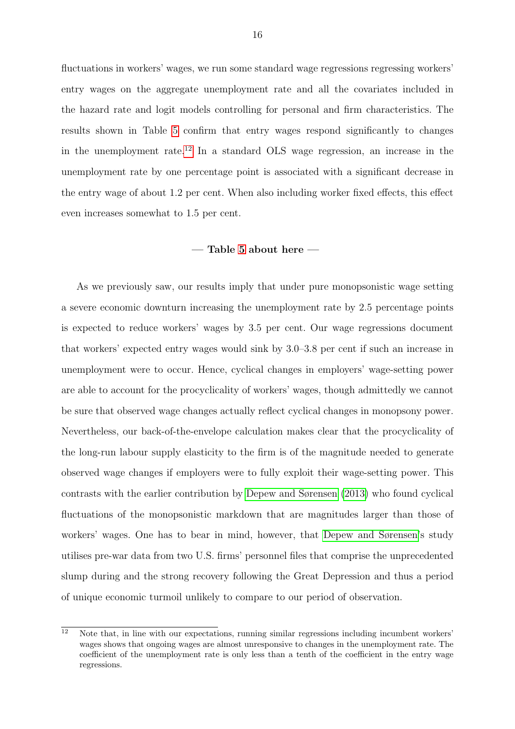fluctuations in workers' wages, we run some standard wage regressions regressing workers' entry wages on the aggregate unemployment rate and all the covariates included in the hazard rate and logit models controlling for personal and firm characteristics. The results shown in Table [5](#page-29-0) confirm that entry wages respond significantly to changes in the unemployment rate.<sup>[12](#page-0-0)</sup> In a standard OLS wage regression, an increase in the unemployment rate by one percentage point is associated with a significant decrease in the entry wage of about 1.2 per cent. When also including worker fixed effects, this effect even increases somewhat to 1.5 per cent.

#### $-$  Table [5](#page-29-0) about here  $-$

As we previously saw, our results imply that under pure monopsonistic wage setting a severe economic downturn increasing the unemployment rate by 2.5 percentage points is expected to reduce workers' wages by 3.5 per cent. Our wage regressions document that workers' expected entry wages would sink by 3.0–3.8 per cent if such an increase in unemployment were to occur. Hence, cyclical changes in employers' wage-setting power are able to account for the procyclicality of workers' wages, though admittedly we cannot be sure that observed wage changes actually reflect cyclical changes in monopsony power. Nevertheless, our back-of-the-envelope calculation makes clear that the procyclicality of the long-run labour supply elasticity to the firm is of the magnitude needed to generate observed wage changes if employers were to fully exploit their wage-setting power. This contrasts with the earlier contribution by [Depew and Sørensen](#page-23-7) [\(2013\)](#page-23-7) who found cyclical fluctuations of the monopsonistic markdown that are magnitudes larger than those of workers' wages. One has to bear in mind, however, that [Depew and Sørensen'](#page-23-7)s study utilises pre-war data from two U.S. firms' personnel files that comprise the unprecedented slump during and the strong recovery following the Great Depression and thus a period of unique economic turmoil unlikely to compare to our period of observation.

 $\overline{12}$  Note that, in line with our expectations, running similar regressions including incumbent workers' wages shows that ongoing wages are almost unresponsive to changes in the unemployment rate. The coefficient of the unemployment rate is only less than a tenth of the coefficient in the entry wage regressions.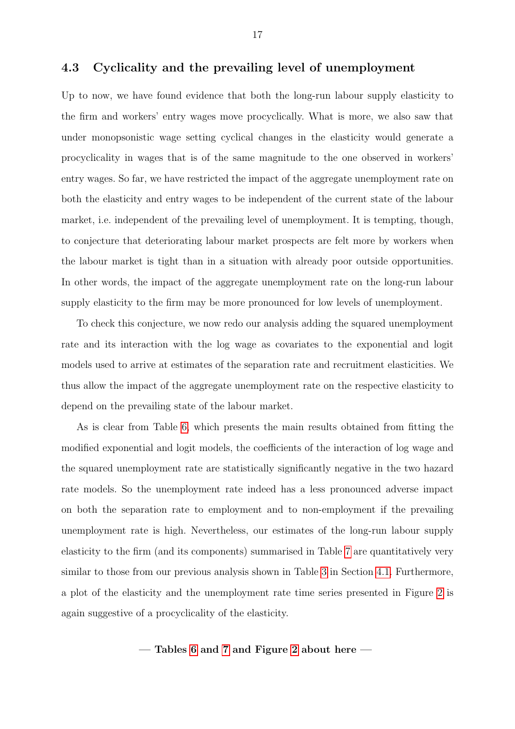#### <span id="page-16-0"></span>4.3 Cyclicality and the prevailing level of unemployment

Up to now, we have found evidence that both the long-run labour supply elasticity to the firm and workers' entry wages move procyclically. What is more, we also saw that under monopsonistic wage setting cyclical changes in the elasticity would generate a procyclicality in wages that is of the same magnitude to the one observed in workers' entry wages. So far, we have restricted the impact of the aggregate unemployment rate on both the elasticity and entry wages to be independent of the current state of the labour market, i.e. independent of the prevailing level of unemployment. It is tempting, though, to conjecture that deteriorating labour market prospects are felt more by workers when the labour market is tight than in a situation with already poor outside opportunities. In other words, the impact of the aggregate unemployment rate on the long-run labour supply elasticity to the firm may be more pronounced for low levels of unemployment.

To check this conjecture, we now redo our analysis adding the squared unemployment rate and its interaction with the log wage as covariates to the exponential and logit models used to arrive at estimates of the separation rate and recruitment elasticities. We thus allow the impact of the aggregate unemployment rate on the respective elasticity to depend on the prevailing state of the labour market.

As is clear from Table [6,](#page-30-0) which presents the main results obtained from fitting the modified exponential and logit models, the coefficients of the interaction of log wage and the squared unemployment rate are statistically significantly negative in the two hazard rate models. So the unemployment rate indeed has a less pronounced adverse impact on both the separation rate to employment and to non-employment if the prevailing unemployment rate is high. Nevertheless, our estimates of the long-run labour supply elasticity to the firm (and its components) summarised in Table [7](#page-30-1) are quantitatively very similar to those from our previous analysis shown in Table [3](#page-28-0) in Section [4.1.](#page-12-1) Furthermore, a plot of the elasticity and the unemployment rate time series presented in Figure [2](#page-25-1) is again suggestive of a procyclicality of the elasticity.

- Tables [6](#page-30-0) and [7](#page-30-1) and Figure [2](#page-25-1) about here –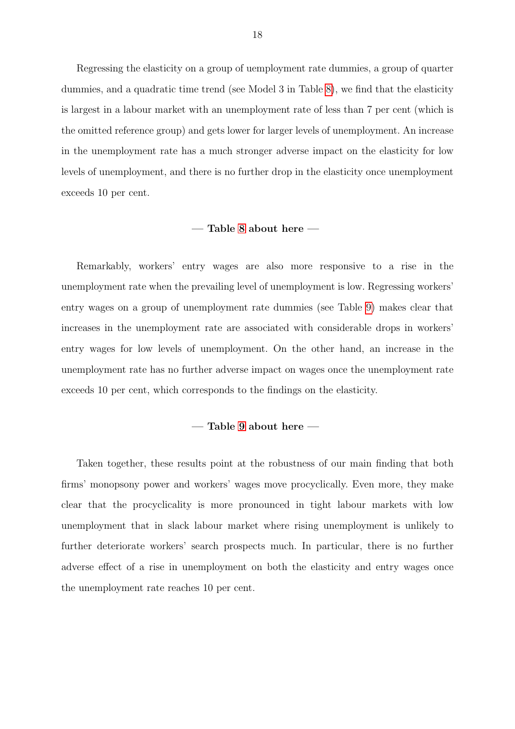Regressing the elasticity on a group of uemployment rate dummies, a group of quarter dummies, and a quadratic time trend (see Model 3 in Table [8\)](#page-31-0), we find that the elasticity is largest in a labour market with an unemployment rate of less than 7 per cent (which is the omitted reference group) and gets lower for larger levels of unemployment. An increase in the unemployment rate has a much stronger adverse impact on the elasticity for low levels of unemployment, and there is no further drop in the elasticity once unemployment exceeds 10 per cent.

#### — Table [8](#page-31-0) about here —

Remarkably, workers' entry wages are also more responsive to a rise in the unemployment rate when the prevailing level of unemployment is low. Regressing workers' entry wages on a group of unemployment rate dummies (see Table [9\)](#page-32-0) makes clear that increases in the unemployment rate are associated with considerable drops in workers' entry wages for low levels of unemployment. On the other hand, an increase in the unemployment rate has no further adverse impact on wages once the unemployment rate exceeds 10 per cent, which corresponds to the findings on the elasticity.

#### — Table [9](#page-32-0) about here —

Taken together, these results point at the robustness of our main finding that both firms' monopsony power and workers' wages move procyclically. Even more, they make clear that the procyclicality is more pronounced in tight labour markets with low unemployment that in slack labour market where rising unemployment is unlikely to further deteriorate workers' search prospects much. In particular, there is no further adverse effect of a rise in unemployment on both the elasticity and entry wages once the unemployment rate reaches 10 per cent.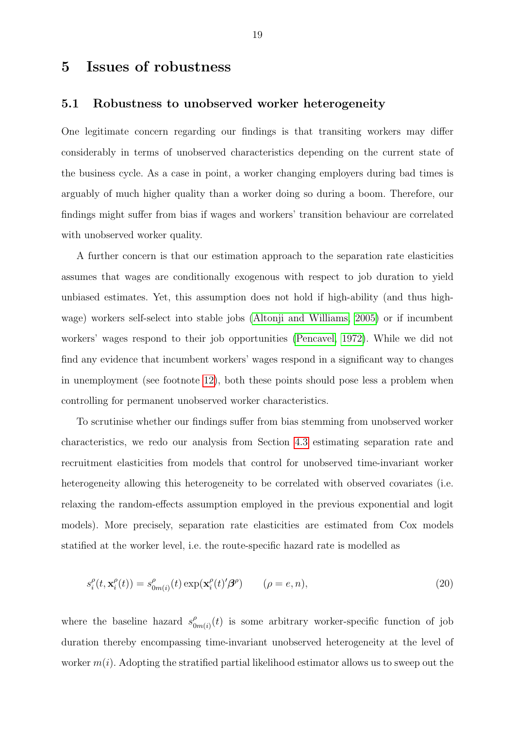### <span id="page-18-0"></span>5 Issues of robustness

#### <span id="page-18-2"></span>5.1 Robustness to unobserved worker heterogeneity

One legitimate concern regarding our findings is that transiting workers may differ considerably in terms of unobserved characteristics depending on the current state of the business cycle. As a case in point, a worker changing employers during bad times is arguably of much higher quality than a worker doing so during a boom. Therefore, our findings might suffer from bias if wages and workers' transition behaviour are correlated with unobserved worker quality.

A further concern is that our estimation approach to the separation rate elasticities assumes that wages are conditionally exogenous with respect to job duration to yield unbiased estimates. Yet, this assumption does not hold if high-ability (and thus highwage) workers self-select into stable jobs [\(Altonji and Williams, 2005\)](#page-23-15) or if incumbent workers' wages respond to their job opportunities [\(Pencavel, 1972\)](#page-24-14). While we did not find any evidence that incumbent workers' wages respond in a significant way to changes in unemployment (see footnote [12\)](#page-14-0), both these points should pose less a problem when controlling for permanent unobserved worker characteristics.

To scrutinise whether our findings suffer from bias stemming from unobserved worker characteristics, we redo our analysis from Section [4.3](#page-16-0) estimating separation rate and recruitment elasticities from models that control for unobserved time-invariant worker heterogeneity allowing this heterogeneity to be correlated with observed covariates (i.e. relaxing the random-effects assumption employed in the previous exponential and logit models). More precisely, separation rate elasticities are estimated from Cox models statified at the worker level, i.e. the route-specific hazard rate is modelled as

<span id="page-18-1"></span>
$$
s_i^{\rho}(t, \mathbf{x}_i^{\rho}(t)) = s_{0m(i)}^{\rho}(t) \exp(\mathbf{x}_i^{\rho}(t)'\boldsymbol{\beta}^{\rho}) \qquad (\rho = e, n), \qquad (20)
$$

where the baseline hazard  $s_0^{\rho}$  $\int_{0}^{\rho}$  (*t*) is some arbitrary worker-specific function of job duration thereby encompassing time-invariant unobserved heterogeneity at the level of worker  $m(i)$ . Adopting the stratified partial likelihood estimator allows us to sweep out the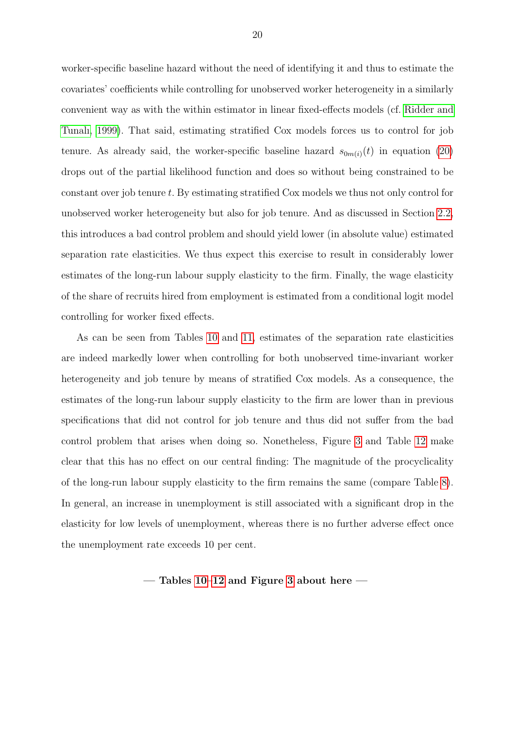worker-specific baseline hazard without the need of identifying it and thus to estimate the covariates' coefficients while controlling for unobserved worker heterogeneity in a similarly convenient way as with the within estimator in linear fixed-effects models (cf. [Ridder and](#page-24-15) [Tunalı, 1999\)](#page-24-15). That said, estimating stratified Cox models forces us to control for job tenure. As already said, the worker-specific baseline hazard  $s_{0m(i)}(t)$  in equation [\(20\)](#page-18-1) drops out of the partial likelihood function and does so without being constrained to be constant over job tenure t. By estimating stratified Cox models we thus not only control for unobserved worker heterogeneity but also for job tenure. And as discussed in Section [2.2,](#page-7-0) this introduces a bad control problem and should yield lower (in absolute value) estimated separation rate elasticities. We thus expect this exercise to result in considerably lower estimates of the long-run labour supply elasticity to the firm. Finally, the wage elasticity of the share of recruits hired from employment is estimated from a conditional logit model controlling for worker fixed effects.

As can be seen from Tables [10](#page-33-0) and [11,](#page-33-1) estimates of the separation rate elasticities are indeed markedly lower when controlling for both unobserved time-invariant worker heterogeneity and job tenure by means of stratified Cox models. As a consequence, the estimates of the long-run labour supply elasticity to the firm are lower than in previous specifications that did not control for job tenure and thus did not suffer from the bad control problem that arises when doing so. Nonetheless, Figure [3](#page-26-0) and Table [12](#page-34-0) make clear that this has no effect on our central finding: The magnitude of the procyclicality of the long-run labour supply elasticity to the firm remains the same (compare Table [8\)](#page-31-0). In general, an increase in unemployment is still associated with a significant drop in the elasticity for low levels of unemployment, whereas there is no further adverse effect once the unemployment rate exceeds 10 per cent.

— Tables [10–](#page-33-0)[12](#page-34-0) and Figure [3](#page-26-0) about here —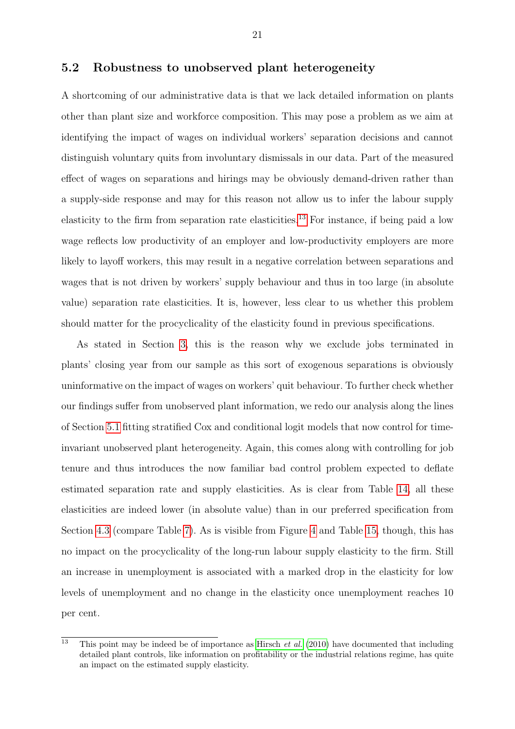#### 5.2 Robustness to unobserved plant heterogeneity

A shortcoming of our administrative data is that we lack detailed information on plants other than plant size and workforce composition. This may pose a problem as we aim at identifying the impact of wages on individual workers' separation decisions and cannot distinguish voluntary quits from involuntary dismissals in our data. Part of the measured effect of wages on separations and hirings may be obviously demand-driven rather than a supply-side response and may for this reason not allow us to infer the labour supply elasticity to the firm from separation rate elasticities.<sup>[13](#page-0-0)</sup> For instance, if being paid a low wage reflects low productivity of an employer and low-productivity employers are more likely to layoff workers, this may result in a negative correlation between separations and wages that is not driven by workers' supply behaviour and thus in too large (in absolute value) separation rate elasticities. It is, however, less clear to us whether this problem should matter for the procyclicality of the elasticity found in previous specifications.

As stated in Section [3,](#page-9-0) this is the reason why we exclude jobs terminated in plants' closing year from our sample as this sort of exogenous separations is obviously uninformative on the impact of wages on workers' quit behaviour. To further check whether our findings suffer from unobserved plant information, we redo our analysis along the lines of Section [5.1](#page-18-2) fitting stratified Cox and conditional logit models that now control for timeinvariant unobserved plant heterogeneity. Again, this comes along with controlling for job tenure and thus introduces the now familiar bad control problem expected to deflate estimated separation rate and supply elasticities. As is clear from Table [14,](#page-35-0) all these elasticities are indeed lower (in absolute value) than in our preferred specification from Section [4.3](#page-16-0) (compare Table [7\)](#page-30-1). As is visible from Figure [4](#page-26-1) and Table [15,](#page-35-1) though, this has no impact on the procyclicality of the long-run labour supply elasticity to the firm. Still an increase in unemployment is associated with a marked drop in the elasticity for low levels of unemployment and no change in the elasticity once unemployment reaches 10 per cent.

 $\overline{13}$  This point may be indeed be of importance as [Hirsch](#page-24-1) *et al.* [\(2010\)](#page-24-1) have documented that including detailed plant controls, like information on profitability or the industrial relations regime, has quite an impact on the estimated supply elasticity.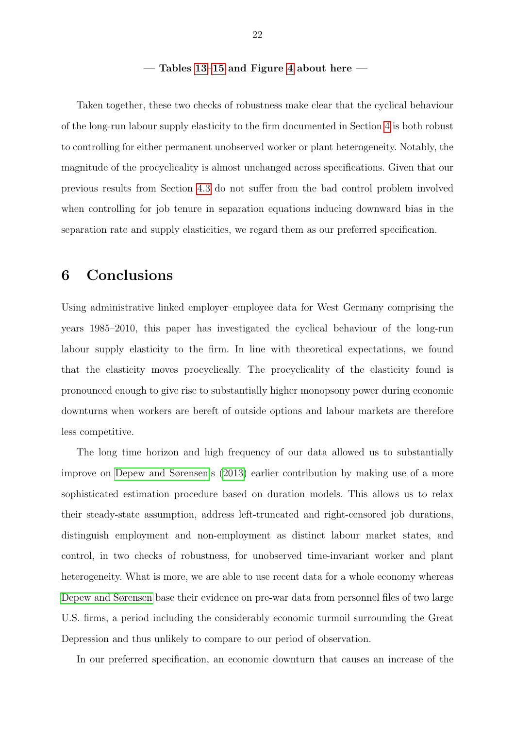#### — Tables [13–](#page-34-1)[15](#page-35-1) and Figure [4](#page-26-1) about here —

Taken together, these two checks of robustness make clear that the cyclical behaviour of the long-run labour supply elasticity to the firm documented in Section [4](#page-12-0) is both robust to controlling for either permanent unobserved worker or plant heterogeneity. Notably, the magnitude of the procyclicality is almost unchanged across specifications. Given that our previous results from Section [4.3](#page-16-0) do not suffer from the bad control problem involved when controlling for job tenure in separation equations inducing downward bias in the separation rate and supply elasticities, we regard them as our preferred specification.

### <span id="page-21-0"></span>6 Conclusions

Using administrative linked employer–employee data for West Germany comprising the years 1985–2010, this paper has investigated the cyclical behaviour of the long-run labour supply elasticity to the firm. In line with theoretical expectations, we found that the elasticity moves procyclically. The procyclicality of the elasticity found is pronounced enough to give rise to substantially higher monopsony power during economic downturns when workers are bereft of outside options and labour markets are therefore less competitive.

The long time horizon and high frequency of our data allowed us to substantially improve on [Depew and Sørensen'](#page-23-7)s [\(2013\)](#page-23-7) earlier contribution by making use of a more sophisticated estimation procedure based on duration models. This allows us to relax their steady-state assumption, address left-truncated and right-censored job durations, distinguish employment and non-employment as distinct labour market states, and control, in two checks of robustness, for unobserved time-invariant worker and plant heterogeneity. What is more, we are able to use recent data for a whole economy whereas [Depew and Sørensen](#page-23-7) base their evidence on pre-war data from personnel files of two large U.S. firms, a period including the considerably economic turmoil surrounding the Great Depression and thus unlikely to compare to our period of observation.

In our preferred specification, an economic downturn that causes an increase of the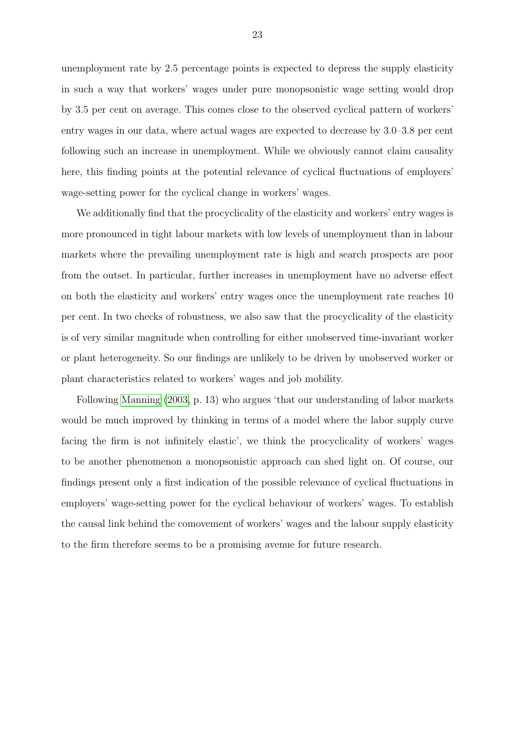unemployment rate by 2.5 percentage points is expected to depress the supply elasticity in such a way that workers' wages under pure monopsonistic wage setting would drop by 3.5 per cent on average. This comes close to the observed cyclical pattern of workers' entry wages in our data, where actual wages are expected to decrease by 3.0–3.8 per cent following such an increase in unemployment. While we obviously cannot claim causality here, this finding points at the potential relevance of cyclical fluctuations of employers' wage-setting power for the cyclical change in workers' wages.

We additionally find that the procyclicality of the elasticity and workers' entry wages is more pronounced in tight labour markets with low levels of unemployment than in labour markets where the prevailing unemployment rate is high and search prospects are poor from the outset. In particular, further increases in unemployment have no adverse effect on both the elasticity and workers' entry wages once the unemployment rate reaches 10 per cent. In two checks of robustness, we also saw that the procyclicality of the elasticity is of very similar magnitude when controlling for either unobserved time-invariant worker or plant heterogeneity. So our findings are unlikely to be driven by unobserved worker or plant characteristics related to workers' wages and job mobility.

Following [Manning](#page-24-0) [\(2003,](#page-24-0) p. 13) who argues 'that our understanding of labor markets would be much improved by thinking in terms of a model where the labor supply curve facing the firm is not infinitely elastic', we think the procyclicality of workers' wages to be another phenomenon a monopsonistic approach can shed light on. Of course, our findings present only a first indication of the possible relevance of cyclical fluctuations in employers' wage-setting power for the cyclical behaviour of workers' wages. To establish the causal link behind the comovement of workers' wages and the labour supply elasticity to the firm therefore seems to be a promising avenue for future research.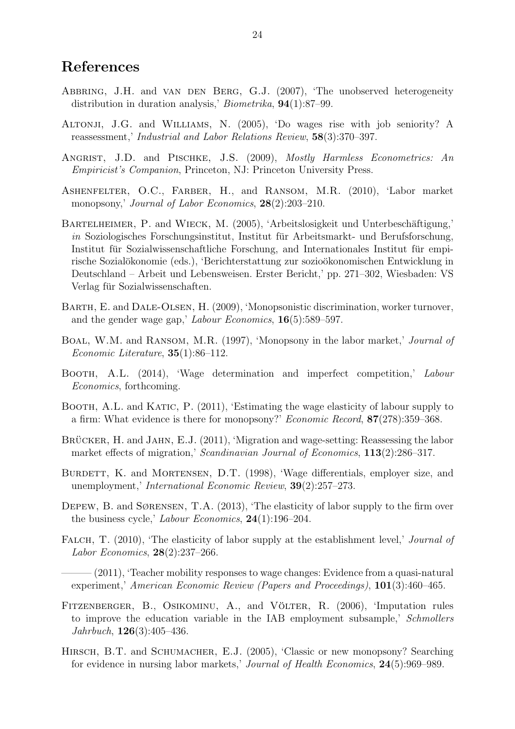### References

- <span id="page-23-10"></span>ABBRING, J.H. and VAN DEN BERG, G.J. (2007), 'The unobserved heterogeneity distribution in duration analysis,' Biometrika, 94(1):87–99.
- <span id="page-23-15"></span>Altonji, J.G. and Williams, N. (2005), 'Do wages rise with job seniority? A reassessment,' Industrial and Labor Relations Review, 58(3):370–397.
- <span id="page-23-11"></span>ANGRIST, J.D. and PISCHKE, J.S. (2009), *Mostly Harmless Econometrics: An* Empiricist's Companion, Princeton, NJ: Princeton University Press.
- <span id="page-23-1"></span>ASHENFELTER, O.C., FARBER, H., and RANSOM, M.R. (2010), 'Labor market monopsony,' Journal of Labor Economics, 28(2):203-210.
- <span id="page-23-13"></span>BARTELHEIMER, P. and WIECK, M. (2005), 'Arbeitslosigkeit und Unterbeschäftigung,'  $in$  Soziologisches Forschungsinstitut, Institut für Arbeitsmarkt- und Berufsforschung, Institut für Sozialwissenschaftliche Forschung, and Internationales Institut für empirische Sozialökonomie (eds.), 'Berichterstattung zur sozioökonomischen Entwicklung in Deutschland – Arbeit und Lebensweisen. Erster Bericht,' pp. 271–302, Wiesbaden: VS Verlag für Sozialwissenschaften.
- <span id="page-23-3"></span>Barth, E. and Dale-Olsen, H. (2009), 'Monopsonistic discrimination, worker turnover, and the gender wage gap,' Labour Economics, 16(5):589–597.
- <span id="page-23-2"></span>BOAL, W.M. and RANSOM, M.R. (1997), 'Monopsony in the labor market,' Journal of Economic Literature, 35(1):86–112.
- <span id="page-23-0"></span>BOOTH, A.L. (2014), 'Wage determination and imperfect competition,' Labour Economics, forthcoming.
- <span id="page-23-6"></span>BOOTH, A.L. and KATIC, P. (2011), 'Estimating the wage elasticity of labour supply to a firm: What evidence is there for monopsony?' Economic Record, 87(278):359–368.
- <span id="page-23-14"></span>BRÜCKER, H. and JAHN, E.J. (2011), 'Migration and wage-setting: Reassessing the labor market effects of migration,' Scandinavian Journal of Economics, 113(2):286–317.
- <span id="page-23-8"></span>BURDETT, K. and MORTENSEN, D.T. (1998), 'Wage differentials, employer size, and unemployment,' International Economic Review, 39(2):257–273.
- <span id="page-23-7"></span>DEPEW, B. and SØRENSEN, T.A. (2013), 'The elasticity of labor supply to the firm over the business cycle,' Labour Economics, 24(1):196–204.
- <span id="page-23-4"></span>FALCH, T. (2010), 'The elasticity of labor supply at the establishment level,' *Journal of* Labor Economics, 28(2):237–266.
- <span id="page-23-5"></span> $-(2011)$ , 'Teacher mobility responses to wage changes: Evidence from a quasi-natural experiment,' American Economic Review (Papers and Proceedings), 101(3):460–465.
- <span id="page-23-12"></span>FITZENBERGER, B., OSIKOMINU, A., and VÖLTER, R. (2006), 'Imputation rules to improve the education variable in the IAB employment subsample,' Schmollers Jahrbuch, 126(3):405–436.
- <span id="page-23-9"></span>HIRSCH, B.T. and SCHUMACHER, E.J. (2005), 'Classic or new monopsony? Searching for evidence in nursing labor markets,' Journal of Health Economics, 24(5):969–989.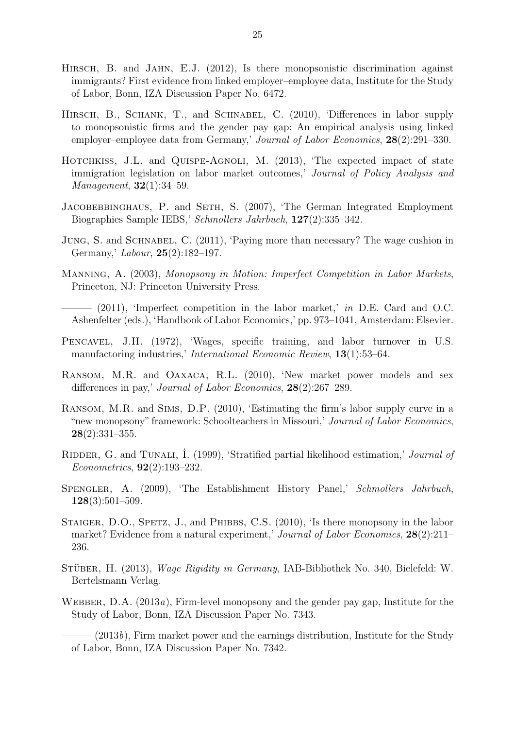- <span id="page-24-5"></span>HIRSCH, B. and JAHN, E.J. (2012), Is there monopsonistic discrimination against immigrants? First evidence from linked employer–employee data, Institute for the Study of Labor, Bonn, IZA Discussion Paper No. 6472.
- <span id="page-24-1"></span>HIRSCH, B., SCHANK, T., and SCHNABEL, C. (2010), 'Differences in labor supply to monopsonistic firms and the gender pay gap: An empirical analysis using linked employer–employee data from Germany,' Journal of Labor Economics, 28(2):291–330.
- <span id="page-24-6"></span>HOTCHKISS, J.L. and QUISPE-AGNOLI, M. (2013), 'The expected impact of state immigration legislation on labor market outcomes,' Journal of Policy Analysis and Management, **32**(1):34–59.
- <span id="page-24-10"></span>JACOBEBBINGHAUS, P. and SETH, S. (2007), 'The German Integrated Employment Biographies Sample IEBS,' Schmollers Jahrbuch, 127(2):335–342.
- <span id="page-24-13"></span>JUNG, S. and SCHNABEL, C. (2011), 'Paying more than necessary? The wage cushion in Germany,' Labour, 25(2):182–197.
- <span id="page-24-0"></span>Manning, A. (2003), Monopsony in Motion: Imperfect Competition in Labor Markets, Princeton, NJ: Princeton University Press.
- <span id="page-24-9"></span>- (2011), 'Imperfect competition in the labor market,' in D.E. Card and O.C. Ashenfelter (eds.), 'Handbook of Labor Economics,' pp. 973–1041, Amsterdam: Elsevier.
- <span id="page-24-14"></span>Pencavel, J.H. (1972), 'Wages, specific training, and labor turnover in U.S. manufactoring industries,' International Economic Review, 13(1):53–64.
- <span id="page-24-2"></span>Ransom, M.R. and Oaxaca, R.L. (2010), 'New market power models and sex differences in pay,' *Journal of Labor Economics*, **28**(2):267–289.
- <span id="page-24-3"></span>Ransom, M.R. and Sims, D.P. (2010), 'Estimating the firm's labor supply curve in a "new monopsony" framework: Schoolteachers in Missouri,' Journal of Labor Economics, 28(2):331–355.
- <span id="page-24-15"></span>RIDDER, G. and TUNALI, I. (1999), 'Stratified partial likelihood estimation,' Journal of Econometrics, 92(2):193–232.
- <span id="page-24-11"></span>Spengler, A. (2009), 'The Establishment History Panel,' Schmollers Jahrbuch, 128(3):501–509.
- <span id="page-24-4"></span>STAIGER, D.O., SPETZ, J., and PHIBBS, C.S. (2010), 'Is there monopsony in the labor market? Evidence from a natural experiment,' Journal of Labor Economics, 28(2):211– 236.
- <span id="page-24-12"></span>STÜBER, H. (2013), Wage Rigidity in Germany, IAB-Bibliothek No. 340, Bielefeld: W. Bertelsmann Verlag.
- <span id="page-24-7"></span>WEBBER, D.A.  $(2013a)$ . Firm-level monopsony and the gender pay gap. Institute for the Study of Labor, Bonn, IZA Discussion Paper No. 7343.

<span id="page-24-8"></span> $(2013b)$ , Firm market power and the earnings distribution, Institute for the Study of Labor, Bonn, IZA Discussion Paper No. 7342.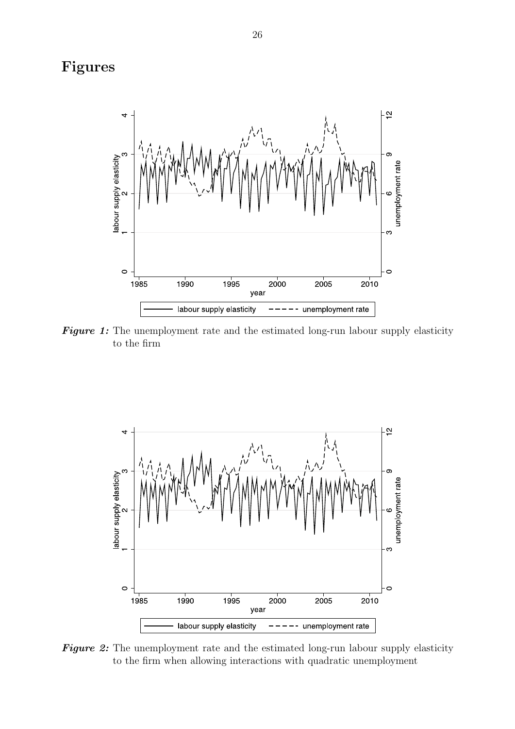## <span id="page-25-0"></span>Figures



Figure 1: The unemployment rate and the estimated long-run labour supply elasticity to the firm

<span id="page-25-1"></span>

Figure 2: The unemployment rate and the estimated long-run labour supply elasticity to the firm when allowing interactions with quadratic unemployment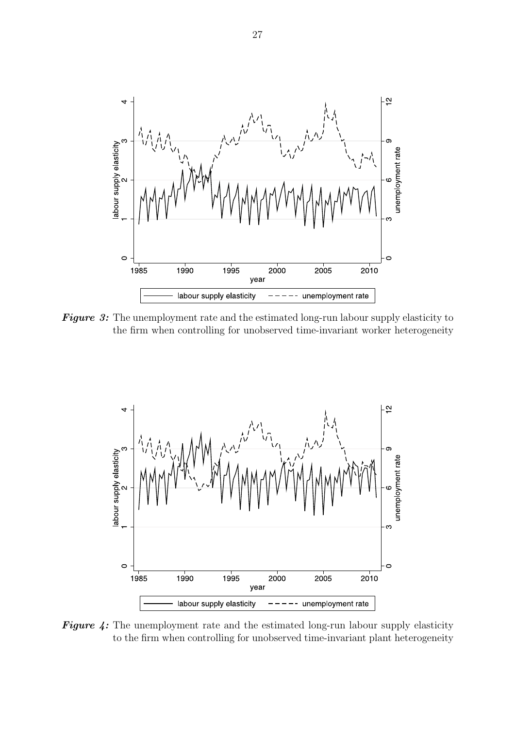<span id="page-26-0"></span>

Figure 3: The unemployment rate and the estimated long-run labour supply elasticity to the firm when controlling for unobserved time-invariant worker heterogeneity

<span id="page-26-1"></span>

Figure 4: The unemployment rate and the estimated long-run labour supply elasticity to the firm when controlling for unobserved time-invariant plant heterogeneity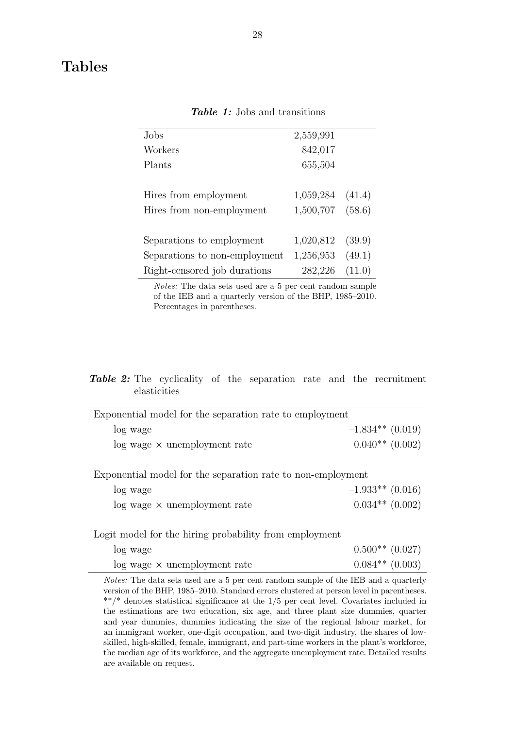<span id="page-27-0"></span>

| Jobs                          | 2,559,991 |        |
|-------------------------------|-----------|--------|
| Workers                       | 842,017   |        |
| Plants                        | 655,504   |        |
|                               |           |        |
| Hires from employment         | 1,059,284 | (41.4) |
| Hires from non-employment     | 1,500,707 | (58.6) |
|                               |           |        |
| Separations to employment     | 1,020,812 | (39.9) |
| Separations to non-employment | 1,256,953 | (49.1) |
| Right-censored job durations  | 282,226   | (11.0) |
|                               |           |        |

Table 1: Jobs and transitions

Notes: The data sets used are a 5 per cent random sample of the IEB and a quarterly version of the BHP, 1985–2010. Percentages in parentheses.

#### <span id="page-27-1"></span>Table 2: The cyclicality of the separation rate and the recruitment elasticities

| Exponential model for the separation rate to employment     |                    |  |  |  |
|-------------------------------------------------------------|--------------------|--|--|--|
| log wage                                                    | $-1.834**$ (0.019) |  |  |  |
| $log$ wage $\times$ unemployment rate                       | $0.040**$ (0.002)  |  |  |  |
|                                                             |                    |  |  |  |
| Exponential model for the separation rate to non-employment |                    |  |  |  |

| log wage                              | $-1.933**$ (0.016) |
|---------------------------------------|--------------------|
| $log$ wage $\times$ unemployment rate | $0.034**$ (0.002)  |

Logit model for the hiring probability from employment

| log wage                              | $0.500**$ (0.027) |
|---------------------------------------|-------------------|
| $log$ wage $\times$ unemployment rate | $0.084**$ (0.003) |

Notes: The data sets used are a 5 per cent random sample of the IEB and a quarterly version of the BHP, 1985–2010. Standard errors clustered at person level in parentheses. \*\*/\* denotes statistical significance at the 1/5 per cent level. Covariates included in the estimations are two education, six age, and three plant size dummies, quarter and year dummies, dummies indicating the size of the regional labour market, for an immigrant worker, one-digit occupation, and two-digit industry, the shares of lowskilled, high-skilled, female, immigrant, and part-time workers in the plant's workforce, the median age of its workforce, and the aggregate unemployment rate. Detailed results are available on request.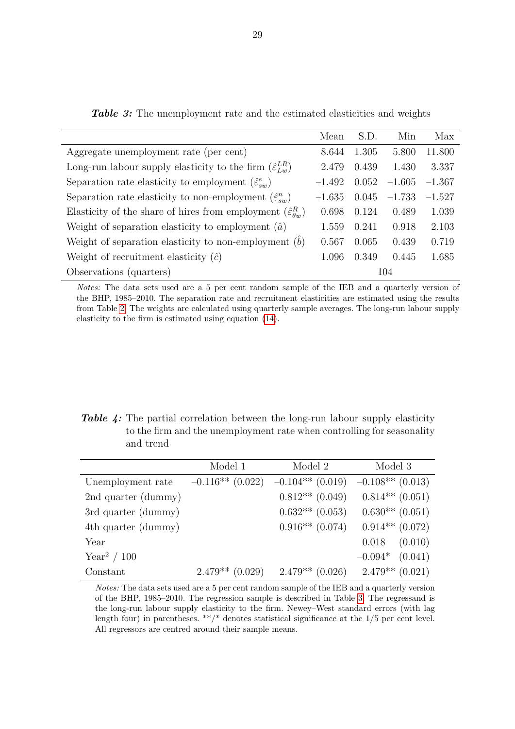<span id="page-28-0"></span>

|                                                                                | Mean     | S.D.  | Min      | Max      |
|--------------------------------------------------------------------------------|----------|-------|----------|----------|
| Aggregate unemployment rate (per cent)                                         | 8.644    | 1.305 | 5.800    | 11.800   |
| Long-run labour supply elasticity to the firm $(\hat{\varepsilon}_{Lw}^{LR})$  | 2.479    | 0.439 | 1.430    | 3.337    |
| Separation rate elasticity to employment $(\hat{\varepsilon}_{sw}^e)$          | $-1.492$ | 0.052 | $-1.605$ | $-1.367$ |
| Separation rate elasticity to non-employment $(\hat{\varepsilon}_{sn}^n)$      | $-1.635$ | 0.045 | $-1.733$ | $-1.527$ |
| Elasticity of the share of hires from employment $(\hat{\varepsilon}_{q_m}^R)$ | 0.698    | 0.124 | 0.489    | 1.039    |
| Weight of separation elasticity to employment $(\hat{a})$                      | 1.559    | 0.241 | 0.918    | 2.103    |
| Weight of separation elasticity to non-employment $(b)$                        | 0.567    | 0.065 | 0.439    | 0.719    |
| Weight of recruitment elasticity $(\hat{c})$                                   | 1.096    | 0.349 | 0.445    | 1.685    |
| Observations (quarters)                                                        | 104      |       |          |          |

**Table 3:** The unemployment rate and the estimated elasticities and weights

Notes: The data sets used are a 5 per cent random sample of the IEB and a quarterly version of the BHP, 1985–2010. The separation rate and recruitment elasticities are estimated using the results from Table [2.](#page-27-1) The weights are calculated using quarterly sample averages. The long-run labour supply elasticity to the firm is estimated using equation [\(14\)](#page-6-3).

<span id="page-28-1"></span>Table 4: The partial correlation between the long-run labour supply elasticity to the firm and the unemployment rate when controlling for seasonality and trend

|                         | Model 1            | Model 2            | Model 3            |
|-------------------------|--------------------|--------------------|--------------------|
| Unemployment rate       | $-0.116**$ (0.022) | $-0.104**$ (0.019) | $-0.108**$ (0.013) |
| 2nd quarter (dummy)     |                    | $0.812**$ (0.049)  | $0.814**$ (0.051)  |
| 3rd quarter (dummy)     |                    | $0.632**$ (0.053)  | $0.630**$ (0.051)  |
| 4th quarter (dummy)     |                    | $0.916**$ (0.074)  | $0.914**$ (0.072)  |
| Year                    |                    |                    | (0.010)<br>0.018   |
| Year <sup>2</sup> / 100 |                    |                    | $-0.094*$ (0.041)  |
| Constant                | $2.479**$ (0.029)  | $2.479**$ (0.026)  | $2.479**$ (0.021)  |

Notes: The data sets used are a 5 per cent random sample of the IEB and a quarterly version of the BHP, 1985–2010. The regression sample is described in Table [3.](#page-28-0) The regressand is the long-run labour supply elasticity to the firm. Newey–West standard errors (with lag length four) in parentheses.  $**/*$  denotes statistical significance at the  $1/5$  per cent level. All regressors are centred around their sample means.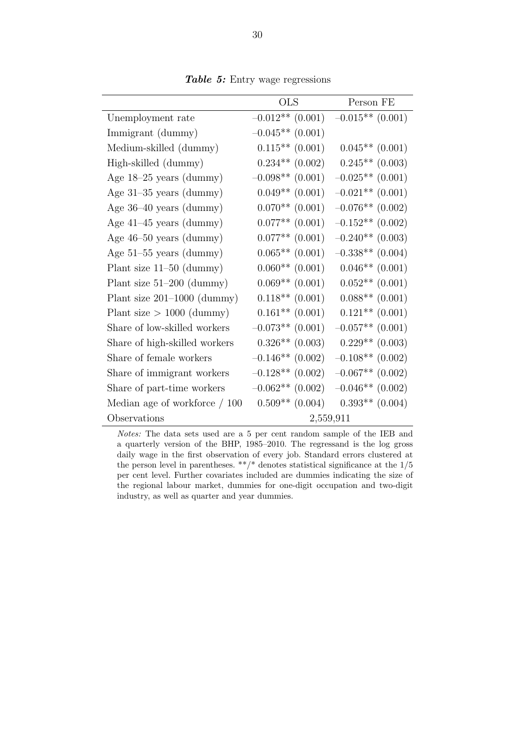<span id="page-29-0"></span>

|                                | $_{\rm OLS}$        | Person FE           |
|--------------------------------|---------------------|---------------------|
| Unemployment rate              | $-0.012**$ (0.001)  | $-0.015**$ (0.001)  |
| Immigrant (dummy)              | $-0.045**$ (0.001)  |                     |
| Medium-skilled (dummy)         | $0.115**$ (0.001)   | $0.045**$ (0.001)   |
| High-skilled (dummy)           | $0.234**$ $(0.002)$ | $0.245**$ (0.003)   |
| Age $18-25$ years (dummy)      | $-0.098**$ (0.001)  | $-0.025**$ (0.001)  |
| Age $31-35$ years (dummy)      | $0.049**$ (0.001)   | $-0.021**$ (0.001)  |
| Age $36-40$ years (dummy)      | $0.070**$ (0.001)   | $-0.076**$ (0.002)  |
| Age $41-45$ years (dummy)      | $0.077**$ (0.001)   | $-0.152**$ (0.002)  |
| Age $46-50$ years (dummy)      | $0.077**$ (0.001)   | $-0.240**$ (0.003)  |
| Age $51-55$ years (dummy)      | $0.065**$ (0.001)   | $-0.338**$ (0.004)  |
| Plant size $11-50$ (dummy)     | $0.060**$ (0.001)   | $0.046**$ (0.001)   |
| Plant size $51-200$ (dummy)    | $0.069**$ (0.001)   | $0.052**$ (0.001)   |
| Plant size $201-1000$ (dummy)  | $0.118**$ $(0.001)$ | $0.088**$ (0.001)   |
| Plant size $> 1000$ (dummy)    | $0.161**$ (0.001)   | $0.121**$ $(0.001)$ |
| Share of low-skilled workers   | $-0.073**$ (0.001)  | $-0.057**$ (0.001)  |
| Share of high-skilled workers  | $0.326**$ (0.003)   | $0.229**$ (0.003)   |
| Share of female workers        | $-0.146**$ (0.002)  | $-0.108**$ (0.002)  |
| Share of immigrant workers     | $-0.128**$ (0.002)  | $-0.067**$ (0.002)  |
| Share of part-time workers     | $-0.062**$ (0.002)  | $-0.046**$ (0.002)  |
| Median age of workforce $/100$ | $0.509**$ (0.004)   | $0.393**$ (0.004)   |
| Observations                   |                     | 2,559,911           |

Table 5: Entry wage regressions

Notes: The data sets used are a 5 per cent random sample of the IEB and a quarterly version of the BHP, 1985–2010. The regressand is the log gross daily wage in the first observation of every job. Standard errors clustered at the person level in parentheses. \*\*/\* denotes statistical significance at the  $1/5$ per cent level. Further covariates included are dummies indicating the size of the regional labour market, dummies for one-digit occupation and two-digit industry, as well as quarter and year dummies.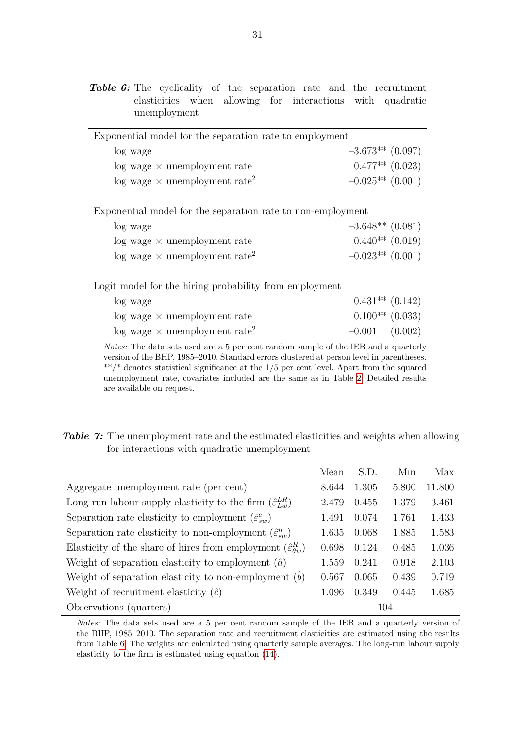<span id="page-30-0"></span>Table 6: The cyclicality of the separation rate and the recruitment elasticities when allowing for interactions with quadratic unemployment

| Exponential model for the separation rate to employment |                    |  |
|---------------------------------------------------------|--------------------|--|
| log wage                                                | $-3.673**$ (0.097) |  |
| $log$ wage $\times$ unemployment rate                   | $0.477**$ (0.023)  |  |
| $\log$ wage $\times$ unemployment rate <sup>2</sup>     | $-0.025**$ (0.001) |  |
|                                                         |                    |  |

Exponential model for the separation rate to non-employment

| log wage                                            | $-3.648**$ (0.081) |
|-----------------------------------------------------|--------------------|
| $log$ wage $\times$ unemployment rate               | $0.440**$ (0.019)  |
| $\log$ wage $\times$ unemployment rate <sup>2</sup> | $-0.023**$ (0.001) |

Logit model for the hiring probability from employment

| log wage                                            | $0.431**$ $(0.142)$ |  |
|-----------------------------------------------------|---------------------|--|
| $log$ wage $\times$ unemployment rate               | $0.100**$ (0.033)   |  |
| $\log$ wage $\times$ unemployment rate <sup>2</sup> | $-0.001$ (0.002)    |  |

Notes: The data sets used are a 5 per cent random sample of the IEB and a quarterly version of the BHP, 1985–2010. Standard errors clustered at person level in parentheses.  $**/*$  denotes statistical significance at the  $1/5$  per cent level. Apart from the squared unemployment rate, covariates included are the same as in Table [2.](#page-27-1) Detailed results are available on request.

<span id="page-30-1"></span>

|  | <b>Table 7:</b> The unemployment rate and the estimated elasticities and weights when allowing |
|--|------------------------------------------------------------------------------------------------|
|  | for interactions with quadratic unemployment                                                   |

|                                                                                  | Mean     | S.D.  | Min      | Max      |
|----------------------------------------------------------------------------------|----------|-------|----------|----------|
| Aggregate unemployment rate (per cent)                                           | 8.644    | 1.305 | 5.800    | 11.800   |
| Long-run labour supply elasticity to the firm $(\hat{\varepsilon}_{L_m}^{LR})$   | 2.479    | 0.455 | 1.379    | 3.461    |
| Separation rate elasticity to employment $(\hat{\varepsilon}_{sw}^e)$            | $-1.491$ | 0.074 | $-1.761$ | $-1.433$ |
| Separation rate elasticity to non-employment $(\hat{\varepsilon}_{\text{sw}}^n)$ | $-1.635$ | 0.068 | $-1.885$ | $-1.583$ |
| Elasticity of the share of hires from employment $(\hat{\varepsilon}_{q_m}^R)$   | 0.698    | 0.124 | 0.485    | 1.036    |
| Weight of separation elasticity to employment $(\hat{a})$                        | 1.559    | 0.241 | 0.918    | 2.103    |
| Weight of separation elasticity to non-employment $(b)$                          | 0.567    | 0.065 | 0.439    | 0.719    |
| Weight of recruitment elasticity $(\hat{c})$                                     | 1.096    | 0.349 | 0.445    | 1.685    |
| Observations (quarters)                                                          |          |       | 104      |          |

Notes: The data sets used are a 5 per cent random sample of the IEB and a quarterly version of the BHP, 1985–2010. The separation rate and recruitment elasticities are estimated using the results from Table [6.](#page-30-0) The weights are calculated using quarterly sample averages. The long-run labour supply elasticity to the firm is estimated using equation [\(14\)](#page-6-3).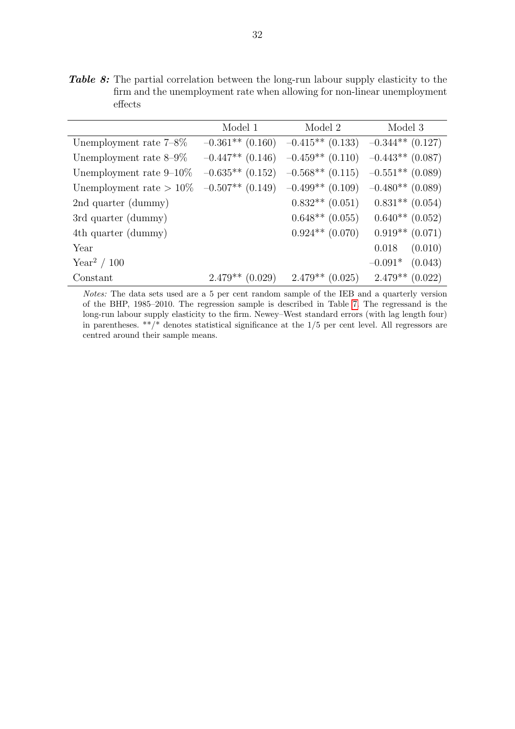<span id="page-31-0"></span>Table 8: The partial correlation between the long-run labour supply elasticity to the firm and the unemployment rate when allowing for non-linear unemployment effects

|                            | Model 1            | Model 2                                                  | Model 3             |
|----------------------------|--------------------|----------------------------------------------------------|---------------------|
| Unemployment rate $7-8\%$  |                    | $-0.361**$ (0.160) $-0.415**$ (0.133) $-0.344**$ (0.127) |                     |
| Unemployment rate $8-9\%$  | $-0.447**$ (0.146) | $-0.459**$ (0.110) $-0.443**$ (0.087)                    |                     |
| Unemployment rate $9-10\%$ | $-0.635**$ (0.152) | $-0.568**$ (0.115) $-0.551**$ (0.089)                    |                     |
| Unemployment rate $>10\%$  |                    | $-0.507**$ (0.149) $-0.499**$ (0.109) $-0.480**$ (0.089) |                     |
| 2nd quarter (dummy)        |                    | $0.832**$ (0.051)                                        | $0.831**$ (0.054)   |
| 3rd quarter (dummy)        |                    | $0.648**$ $(0.055)$                                      | $0.640**$ (0.052)   |
| 4th quarter (dummy)        |                    | $0.924**$ $(0.070)$                                      | $0.919**$ $(0.071)$ |
| Year                       |                    |                                                          | $0.018$ $(0.010)$   |
| Year <sup>2</sup> / 100    |                    |                                                          | $-0.091*$ (0.043)   |
| Constant                   | $2.479**$ (0.029)  | $2.479**$ (0.025)                                        | $2.479**$ (0.022)   |

Notes: The data sets used are a 5 per cent random sample of the IEB and a quarterly version of the BHP, 1985–2010. The regression sample is described in Table [7.](#page-30-1) The regressand is the long-run labour supply elasticity to the firm. Newey–West standard errors (with lag length four) in parentheses. \*\*/\* denotes statistical significance at the 1/5 per cent level. All regressors are centred around their sample means.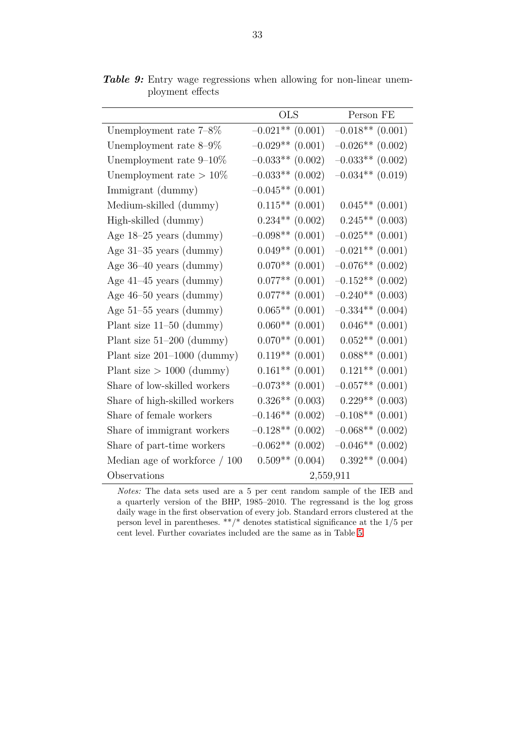|                                 | <b>OLS</b>          | Person FE           |
|---------------------------------|---------------------|---------------------|
| Unemployment rate $7-8\%$       | $-0.021**$ (0.001)  | $-0.018**$ (0.001)  |
| Unemployment rate $8-9\%$       | $-0.029**$ (0.001)  | $-0.026**$ (0.002)  |
| Unemployment rate $9-10\%$      | $-0.033**$ (0.002)  | $-0.033**$ (0.002)  |
| Unemployment rate $>10\%$       | $-0.033**$ (0.002)  | $-0.034**$ (0.019)  |
| Immigrant (dummy)               | $-0.045**$ (0.001)  |                     |
| Medium-skilled (dummy)          | $0.115**$ (0.001)   | $0.045**$ (0.001)   |
| High-skilled (dummy)            | $0.234**$ $(0.002)$ | $0.245**$ (0.003)   |
| Age $18-25$ years (dummy)       | $-0.098**$ (0.001)  | $-0.025**$ (0.001)  |
| Age 31-35 years (dummy)         | $0.049**$ $(0.001)$ | $-0.021**$ (0.001)  |
| Age $36-40$ years (dummy)       | $0.070**$ (0.001)   | $-0.076**$ (0.002)  |
| Age $41-45$ years (dummy)       | $0.077**$ (0.001)   | $-0.152**$ (0.002)  |
| Age $46-50$ years (dummy)       | $0.077**$ (0.001)   | $-0.240**$ (0.003)  |
| Age $51-55$ years (dummy)       | $0.065**$ (0.001)   | $-0.334**$ (0.004)  |
| Plant size $11-50$ (dummy)      | $0.060**$ (0.001)   | $0.046**$ (0.001)   |
| Plant size $51-200$ (dummy)     | $0.070**$ (0.001)   | $0.052**$ (0.001)   |
| Plant size $201-1000$ (dummy)   | $0.119**$ (0.001)   | $0.088**$ (0.001)   |
| Plant size $> 1000$ (dummy)     | $0.161**$ (0.001)   | $0.121**$ (0.001)   |
| Share of low-skilled workers    | $-0.073**$ (0.001)  | $-0.057**$ (0.001)  |
| Share of high-skilled workers   | $0.326**$ (0.003)   | $0.229**$ (0.003)   |
| Share of female workers         | $-0.146**$ (0.002)  | $-0.108**$ (0.001)  |
| Share of immigrant workers      | $-0.128**$ (0.002)  | $-0.068**$ (0.002)  |
| Share of part-time workers      | $-0.062**$ (0.002)  | $-0.046**$ (0.002)  |
| Median age of workforce $/ 100$ | $0.509**$ (0.004)   | $0.392**$ $(0.004)$ |
| Observations                    |                     | 2,559,911           |

<span id="page-32-0"></span>Table 9: Entry wage regressions when allowing for non-linear unemployment effects

Notes: The data sets used are a 5 per cent random sample of the IEB and a quarterly version of the BHP, 1985–2010. The regressand is the log gross daily wage in the first observation of every job. Standard errors clustered at the person level in parentheses. \*\*/\* denotes statistical significance at the  $1/5$  per cent level. Further covariates included are the same as in Table [5.](#page-29-0)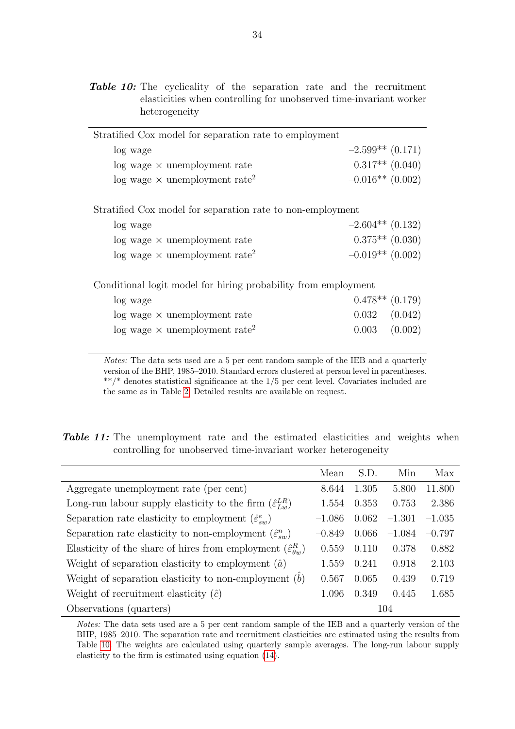<span id="page-33-0"></span>

|  |               |  | <b>Table 10:</b> The cyclicality of the separation rate and the recruitment |  |  |  |
|--|---------------|--|-----------------------------------------------------------------------------|--|--|--|
|  |               |  | elasticities when controlling for unobserved time-invariant worker          |  |  |  |
|  | heterogeneity |  |                                                                             |  |  |  |

| Stratified Cox model for separation rate to employment     |                    |
|------------------------------------------------------------|--------------------|
| log wage                                                   | $-2.599**$ (0.171) |
| $log$ wage $\times$ unemployment rate                      | $0.317**$ (0.040)  |
| $\log$ wage $\times$ unemployment rate <sup>2</sup>        | $-0.016**$ (0.002) |
|                                                            |                    |
| Stratified Cox model for separation rate to non-employment |                    |

| log wage                                            | $-2.604**$ (0.132) |
|-----------------------------------------------------|--------------------|
| $log$ wage $\times$ unemployment rate               | $0.375**$ (0.030)  |
| $\log$ wage $\times$ unemployment rate <sup>2</sup> | $-0.019**$ (0.002) |

Conditional logit model for hiring probability from employment

| log wage                                            | $0.478**$ $(0.179)$ |  |
|-----------------------------------------------------|---------------------|--|
| $log$ wage $\times$ unemployment rate               | $0.032$ $(0.042)$   |  |
| $\log$ wage $\times$ unemployment rate <sup>2</sup> | $0.003$ $(0.002)$   |  |

Notes: The data sets used are a 5 per cent random sample of the IEB and a quarterly version of the BHP, 1985–2010. Standard errors clustered at person level in parentheses. \*\*/\* denotes statistical significance at the 1/5 per cent level. Covariates included are the same as in Table [2.](#page-27-1) Detailed results are available on request.

<span id="page-33-1"></span>Table 11: The unemployment rate and the estimated elasticities and weights when controlling for unobserved time-invariant worker heterogeneity

|                                                                                | Mean     | S.D.  | Min      | Max      |
|--------------------------------------------------------------------------------|----------|-------|----------|----------|
| Aggregate unemployment rate (per cent)                                         | 8.644    | 1.305 | 5.800    | 11.800   |
| Long-run labour supply elasticity to the firm $(\hat{\varepsilon}_{L,m}^{LR})$ | 1.554    | 0.353 | 0.753    | 2.386    |
| Separation rate elasticity to employment $(\hat{\varepsilon}_{sw}^e)$          | $-1.086$ | 0.062 | $-1.301$ | $-1.035$ |
| Separation rate elasticity to non-employment $(\hat{\varepsilon}_{sw}^n)$      | $-0.849$ | 0.066 | $-1.084$ | $-0.797$ |
| Elasticity of the share of hires from employment $(\hat{\varepsilon}_{q_m}^R)$ | 0.559    | 0.110 | 0.378    | 0.882    |
| Weight of separation elasticity to employment $(\hat{a})$                      | 1.559    | 0.241 | 0.918    | 2.103    |
| Weight of separation elasticity to non-employment $(b)$                        | 0.567    | 0.065 | 0.439    | 0.719    |
| Weight of recruitment elasticity $(\hat{c})$                                   | 1.096    | 0.349 | 0.445    | 1.685    |
| Observations (quarters)                                                        |          |       | 104      |          |

Notes: The data sets used are a 5 per cent random sample of the IEB and a quarterly version of the BHP, 1985–2010. The separation rate and recruitment elasticities are estimated using the results from Table [10.](#page-33-0) The weights are calculated using quarterly sample averages. The long-run labour supply elasticity to the firm is estimated using equation [\(14\)](#page-6-3).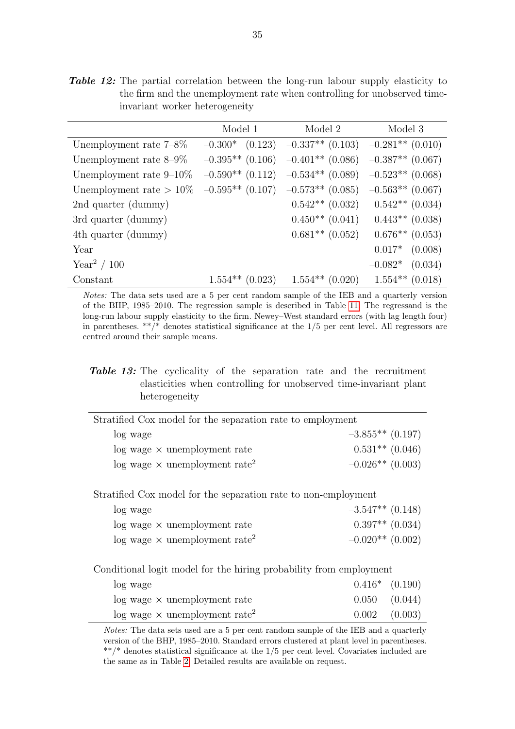<span id="page-34-0"></span>Table 12: The partial correlation between the long-run labour supply elasticity to the firm and the unemployment rate when controlling for unobserved timeinvariant worker heterogeneity

|                            | Model 1            | Model 2                                                       | Model 3                                 |
|----------------------------|--------------------|---------------------------------------------------------------|-----------------------------------------|
| Unemployment rate $7-8\%$  |                    | $-0.300*$ $(0.123)$ $-0.337**$ $(0.103)$ $-0.281**$ $(0.010)$ |                                         |
| Unemployment rate $8-9\%$  |                    | $-0.395**$ (0.106) $-0.401**$ (0.086) $-0.387**$ (0.067)      |                                         |
| Unemployment rate $9-10\%$ | $-0.590**$ (0.112) | $-0.534**$ (0.089)                                            | $-0.523**$ (0.068)                      |
| Unemployment rate $>10\%$  |                    | $-0.595**$ (0.107) $-0.573**$ (0.085)                         | $-0.563**$ (0.067)                      |
| 2nd quarter (dummy)        |                    | $0.542**$ (0.032)                                             | $0.542**$ (0.034)                       |
| 3rd quarter (dummy)        |                    |                                                               | $0.450**$ $(0.041)$ $0.443**$ $(0.038)$ |
| 4th quarter (dummy)        |                    | $0.681**$ (0.052)                                             | $0.676**$ (0.053)                       |
| Year                       |                    |                                                               | $0.017*$ $(0.008)$                      |
| Year <sup>2</sup> / 100    |                    |                                                               | $-0.082*$ (0.034)                       |
| Constant                   | $1.554**$ (0.023)  | $1.554**$ (0.020)                                             | $1.554**$ (0.018)                       |

Notes: The data sets used are a 5 per cent random sample of the IEB and a quarterly version of the BHP, 1985–2010. The regression sample is described in Table [11.](#page-33-1) The regressand is the long-run labour supply elasticity to the firm. Newey–West standard errors (with lag length four) in parentheses.  $**/*$  denotes statistical significance at the  $1/5$  per cent level. All regressors are centred around their sample means.

#### <span id="page-34-1"></span>**Table 13:** The cyclicality of the separation rate and the recruitment elasticities when controlling for unobserved time-invariant plant heterogeneity

| Stratified Cox model for the separation rate to employment |                    |
|------------------------------------------------------------|--------------------|
| log wage                                                   | $-3.855**$ (0.197) |
| $log$ wage $\times$ unemployment rate                      | $0.531**$ (0.046)  |
| $\log$ wage $\times$ unemployment rate <sup>2</sup>        | $-0.026**$ (0.003) |
|                                                            |                    |

Stratified Cox model for the separation rate to non-employment

| log wage                                            | $-3.547**$ (0.148)  |
|-----------------------------------------------------|---------------------|
| $log$ wage $\times$ unemployment rate               | $0.397**$ $(0.034)$ |
| $\log$ wage $\times$ unemployment rate <sup>2</sup> | $-0.020**$ (0.002)  |

Conditional logit model for the hiring probability from employment

| log wage                                            | $0.416*$ $(0.190)$ |
|-----------------------------------------------------|--------------------|
| $log$ wage $\times$ unemployment rate               | $0.050$ $(0.044)$  |
| $\log$ wage $\times$ unemployment rate <sup>2</sup> | $0.002$ $(0.003)$  |

Notes: The data sets used are a 5 per cent random sample of the IEB and a quarterly version of the BHP, 1985–2010. Standard errors clustered at plant level in parentheses. \*\*/\* denotes statistical significance at the 1/5 per cent level. Covariates included are the same as in Table [2.](#page-27-1) Detailed results are available on request.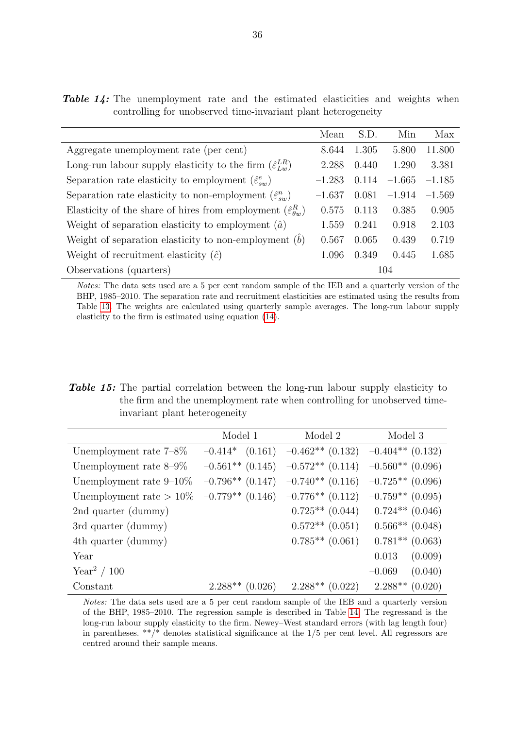|                                                                                | Mean     | S.D.  | Min      | Max      |
|--------------------------------------------------------------------------------|----------|-------|----------|----------|
| Aggregate unemployment rate (per cent)                                         | 8.644    | 1.305 | 5.800    | 11.800   |
| Long-run labour supply elasticity to the firm $(\hat{\varepsilon}_{Lw}^{LR})$  | 2.288    | 0.440 | 1.290    | 3.381    |
| Separation rate elasticity to employment $(\hat{\varepsilon}_{\textit{su}}^e)$ | $-1.283$ | 0.114 | $-1.665$ | $-1.185$ |
| Separation rate elasticity to non-employment $(\hat{\varepsilon}_{sn}^n)$      | $-1.637$ | 0.081 | $-1.914$ | $-1.569$ |
| Elasticity of the share of hires from employment $(\hat{\varepsilon}_{q_m}^R)$ | 0.575    | 0.113 | 0.385    | 0.905    |
| Weight of separation elasticity to employment $(\hat{a})$                      | 1.559    | 0.241 | 0.918    | 2.103    |
| Weight of separation elasticity to non-employment $(b)$                        | 0.567    | 0.065 | 0.439    | 0.719    |
| Weight of recruitment elasticity $(\hat{c})$                                   | 1.096    | 0.349 | 0.445    | 1.685    |
| Observations (quarters)                                                        |          |       | 104      |          |

Notes: The data sets used are a 5 per cent random sample of the IEB and a quarterly version of the BHP, 1985–2010. The separation rate and recruitment elasticities are estimated using the results from Table [13.](#page-34-1) The weights are calculated using quarterly sample averages. The long-run labour supply elasticity to the firm is estimated using equation [\(14\)](#page-6-3).

<span id="page-35-1"></span>Table 15: The partial correlation between the long-run labour supply elasticity to the firm and the unemployment rate when controlling for unobserved timeinvariant plant heterogeneity

|                            | Model 1 | Model 2                                                  | Model 3                                 |
|----------------------------|---------|----------------------------------------------------------|-----------------------------------------|
| Unemployment rate $7-8\%$  |         | $-0.414*$ (0.161) $-0.462**$ (0.132) $-0.404**$ (0.132)  |                                         |
| Unemployment rate $8-9\%$  |         | $-0.561**$ (0.145) $-0.572**$ (0.114) $-0.560**$ (0.096) |                                         |
| Unemployment rate $9-10\%$ |         | $-0.796**$ (0.147) $-0.740**$ (0.116) $-0.725**$ (0.096) |                                         |
| Unemployment rate $>10\%$  |         | $-0.779**$ (0.146) $-0.776**$ (0.112)                    | $-0.759**$ (0.095)                      |
| 2nd quarter (dummy)        |         |                                                          | $0.725**$ $(0.044)$ $0.724**$ $(0.046)$ |
| 3rd quarter (dummy)        |         |                                                          | $0.572**$ $(0.051)$ $0.566**$ $(0.048)$ |
| 4th quarter (dummy)        |         | $0.785**$ (0.061)                                        | $0.781**$ (0.063)                       |
| Year                       |         |                                                          | (0.009)<br>0.013                        |
| Year <sup>2</sup> / 100    |         |                                                          | (0.040)<br>$-0.069$                     |
| Constant                   |         | $2.288**$ (0.026) $2.288**$ (0.022) $2.288**$ (0.020)    |                                         |

Notes: The data sets used are a 5 per cent random sample of the IEB and a quarterly version of the BHP, 1985–2010. The regression sample is described in Table [14.](#page-35-0) The regressand is the long-run labour supply elasticity to the firm. Newey–West standard errors (with lag length four) in parentheses.  $**/*$  denotes statistical significance at the  $1/5$  per cent level. All regressors are centred around their sample means.

<span id="page-35-0"></span>**Table 14:** The unemployment rate and the estimated elasticities and weights when

controlling for unobserved time-invariant plant heterogeneity